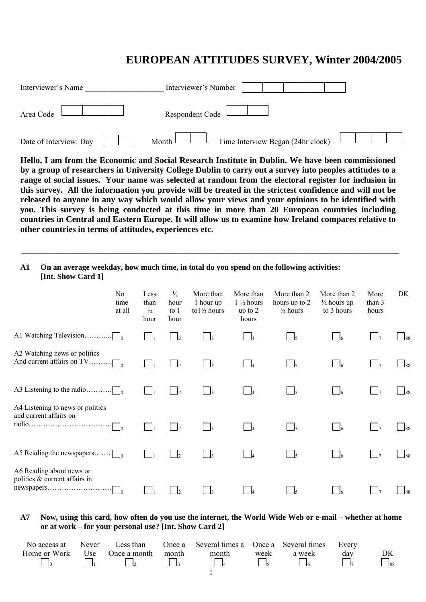## **EUROPEAN ATTITUDES SURVEY, Winter 2004/2005**

| Interviewer's Name     | Interviewer's Number                                    |  |
|------------------------|---------------------------------------------------------|--|
| Area Code              | Respondent Code                                         |  |
| Date of Interview: Day | Time Interview Began (24hr clock)<br>Month <sup>1</sup> |  |

**Hello, I am from the Economic and Social Research Institute in Dublin. We have been commissioned by a group of researchers in University College Dublin to carry out a survey into peoples attitudes to a range of social issues. Your name was selected at random from the electoral register for inclusion in this survey. All the information you provide will be treated in the strictest confidence and will not be released to anyone in any way which would allow your views and your opinions to be identified with you. This survey is being conducted at this time in more than 20 European countries including countries in Central and Eastern Europe. It will allow us to examine how Ireland compares relative to other countries in terms of attitudes, experiences etc.** 

 $\_$  , and the set of the set of the set of the set of the set of the set of the set of the set of the set of the set of the set of the set of the set of the set of the set of the set of the set of the set of the set of th

## **A1 On an average weekday, how much time, in total do you spend on the following activities: [Int. Show Card 1]**

|                                                                         | N <sub>0</sub><br>time<br>at all | Less<br>than<br>$\frac{1}{2}$<br>hour | $\frac{1}{2}$<br>hour<br>to $1$<br>hour | More than<br>1 hour up<br>to $1\frac{1}{2}$ hours | More than<br>$1\frac{1}{2}$ hours<br>up to $2$<br>hours | More than 2<br>hours up to 2<br>$\frac{1}{2}$ hours | More than 2<br>$\frac{1}{2}$ hours up<br>to 3 hours | More<br>than 3<br>hours | DK             |
|-------------------------------------------------------------------------|----------------------------------|---------------------------------------|-----------------------------------------|---------------------------------------------------|---------------------------------------------------------|-----------------------------------------------------|-----------------------------------------------------|-------------------------|----------------|
| A1 Watching Television                                                  | $\Box$                           | $\Box$                                | $\mathbf{1}$                            |                                                   |                                                         | $\vert$ 5                                           |                                                     | $\vert \vert$ $\vert$ 7 | 188            |
| A2 Watching news or politics<br>And current affairs on TV               | $\cdots$ 0                       |                                       | $\vert$                                 |                                                   |                                                         | $\frac{1}{5}$                                       |                                                     |                         | 188            |
| A3 Listening to the radio.                                              |                                  |                                       | $\mathsf{L}$                            |                                                   |                                                         | $\Box$ 5                                            |                                                     |                         |                |
| A4 Listening to news or politics<br>and current affairs on              | ٦o                               | $\overline{\phantom{a}}$              | $\mathbf{1}_{2}$                        |                                                   |                                                         | $\frac{1}{5}$                                       |                                                     |                         | 188            |
| A5 Reading the newspapers $\Box$                                        |                                  | $\vert \ \ \vert$                     | $\frac{1}{2}$                           |                                                   |                                                         | $\Box$                                              |                                                     | $\vert \cdot \vert$     | $\frac{1}{88}$ |
| A6 Reading about news or<br>politics & current affairs in<br>newspapers | $\vert$ 0                        |                                       |                                         |                                                   |                                                         |                                                     |                                                     |                         | 188            |

## **A7 Now, using this card, how often do you use the internet, the World Wide Web or e-mail – whether at home or at work – for your personal use? [Int. Show Card 2]**

| No access at | Never | Less than        |       | Once a Several times a Once a Several times Every |      |        |     |                      |
|--------------|-------|------------------|-------|---------------------------------------------------|------|--------|-----|----------------------|
| Home or Work |       | Use Once a month | month | month                                             | week | a week | day | DK                   |
|              |       |                  |       |                                                   |      |        |     | $\Box$ <sub>88</sub> |
|              |       |                  |       |                                                   |      |        |     |                      |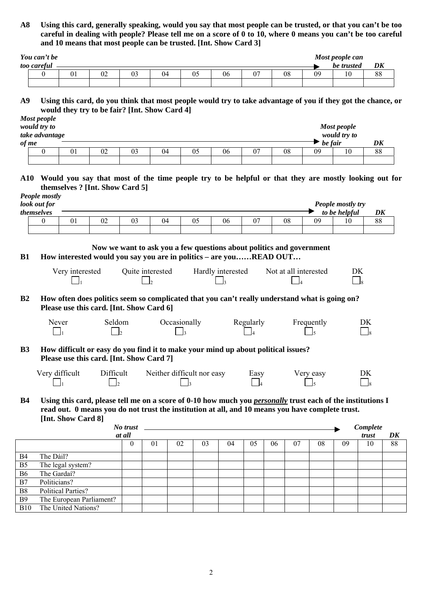**A8 Using this card, generally speaking, would you say that most people can be trusted, or that you can't be too careful in dealing with people? Please tell me on a score of 0 to 10, where 0 means you can't be too careful and 10 means that most people can be trusted. [Int. Show Card 3]** 

| You can't be |    |    |    |    |    |    | Most people can |          |
|--------------|----|----|----|----|----|----|-----------------|----------|
| too careful  |    |    |    |    |    |    | be trusted      | DK       |
|              | 02 | 04 | 06 | 07 | 08 | 09 |                 | oο<br>აა |
|              |    |    |    |    |    |    |                 |          |

**A9 Using this card, do you think that most people would try to take advantage of you if they got the chance, or would they try to be fair? [Int. Show Card 4]** 

|       | Most people<br>would try to<br>take advantage |    |    |    |    |    |    |    |         | <b>Most people</b><br>would try to |    |
|-------|-----------------------------------------------|----|----|----|----|----|----|----|---------|------------------------------------|----|
| of me |                                               |    |    |    |    |    |    |    | be fair |                                    | DK |
|       |                                               | UΙ | UZ | 03 | 04 | UJ | 06 | 08 | 09      | 10                                 | 88 |
|       |                                               |    |    |    |    |    |    |    |         |                                    |    |

**A10 Would you say that most of the time people try to be helpful or that they are mostly looking out for themselves ? [Int. Show Card 5]**

|                | People mostly<br>look out for                                                                                                                                                                                                                                                                                                                                                                                                                                                                                                                                                |                                                                                       |    |    |    |    |    |    |    |    | <b>People mostly try</b> |    |  |  |
|----------------|------------------------------------------------------------------------------------------------------------------------------------------------------------------------------------------------------------------------------------------------------------------------------------------------------------------------------------------------------------------------------------------------------------------------------------------------------------------------------------------------------------------------------------------------------------------------------|---------------------------------------------------------------------------------------|----|----|----|----|----|----|----|----|--------------------------|----|--|--|
|                | themselves                                                                                                                                                                                                                                                                                                                                                                                                                                                                                                                                                                   |                                                                                       |    |    |    |    |    |    |    |    | to be helpful            | DK |  |  |
|                | $\Omega$                                                                                                                                                                                                                                                                                                                                                                                                                                                                                                                                                                     | 01                                                                                    | 02 | 03 | 04 | 05 | 06 | 07 | 08 | 09 | 10                       | 88 |  |  |
|                |                                                                                                                                                                                                                                                                                                                                                                                                                                                                                                                                                                              |                                                                                       |    |    |    |    |    |    |    |    |                          |    |  |  |
|                |                                                                                                                                                                                                                                                                                                                                                                                                                                                                                                                                                                              |                                                                                       |    |    |    |    |    |    |    |    |                          |    |  |  |
| <b>B1</b>      |                                                                                                                                                                                                                                                                                                                                                                                                                                                                                                                                                                              |                                                                                       |    |    |    |    |    |    |    |    |                          |    |  |  |
|                | Now we want to ask you a few questions about politics and government<br>How interested would you say you are in politics – are youREAD OUT<br>Very interested<br>Quite interested<br>Hardly interested<br>Not at all interested<br>DK.<br>$\Box$ 8<br>How often does politics seem so complicated that you can't really understand what is going on?<br>Please use this card. [Int. Show Card 6]<br>Seldom<br>Occasionally<br>Regularly<br>Frequently<br>Never<br>DK.<br>$\overline{8}$<br>How difficult or easy do you find it to make your mind up about political issues? |                                                                                       |    |    |    |    |    |    |    |    |                          |    |  |  |
|                |                                                                                                                                                                                                                                                                                                                                                                                                                                                                                                                                                                              |                                                                                       |    |    |    |    |    |    |    |    |                          |    |  |  |
| B2             |                                                                                                                                                                                                                                                                                                                                                                                                                                                                                                                                                                              |                                                                                       |    |    |    |    |    |    |    |    |                          |    |  |  |
|                |                                                                                                                                                                                                                                                                                                                                                                                                                                                                                                                                                                              |                                                                                       |    |    |    |    |    |    |    |    |                          |    |  |  |
|                |                                                                                                                                                                                                                                                                                                                                                                                                                                                                                                                                                                              |                                                                                       |    |    |    |    |    |    |    |    |                          |    |  |  |
|                |                                                                                                                                                                                                                                                                                                                                                                                                                                                                                                                                                                              |                                                                                       |    |    |    |    |    |    |    |    |                          |    |  |  |
| B <sub>3</sub> |                                                                                                                                                                                                                                                                                                                                                                                                                                                                                                                                                                              |                                                                                       |    |    |    |    |    |    |    |    |                          |    |  |  |
|                |                                                                                                                                                                                                                                                                                                                                                                                                                                                                                                                                                                              |                                                                                       |    |    |    |    |    |    |    |    |                          |    |  |  |
|                |                                                                                                                                                                                                                                                                                                                                                                                                                                                                                                                                                                              | Very difficult<br>Difficult<br>Neither difficult nor easy<br>Very easy<br>DK.<br>Easy |    |    |    |    |    |    |    |    |                          |    |  |  |
|                |                                                                                                                                                                                                                                                                                                                                                                                                                                                                                                                                                                              |                                                                                       |    |    |    |    |    |    |    |    |                          |    |  |  |
| <b>B4</b>      |                                                                                                                                                                                                                                                                                                                                                                                                                                                                                                                                                                              |                                                                                       |    |    |    |    |    |    |    |    |                          |    |  |  |
|                | Please use this card. [Int. Show Card 7]<br>$\overline{\phantom{0}}^8$<br>Using this card, please tell me on a score of 0-10 how much you <i>personally</i> trust each of the institutions I<br>read out. 0 means you do not trust the institution at all, and 10 means you have complete trust.                                                                                                                                                                                                                                                                             |                                                                                       |    |    |    |    |    |    |    |    |                          |    |  |  |

**[Int. Show Card 8]** 

|                |                           | No trust<br>at all |    |    |    |    |    |    |    |    |    | Complete<br>trust | DK |
|----------------|---------------------------|--------------------|----|----|----|----|----|----|----|----|----|-------------------|----|
|                |                           | U                  | 01 | 02 | 03 | 04 | 05 | 06 | 07 | 08 | 09 | 10                | 88 |
| B <sub>4</sub> | The Dáil?                 |                    |    |    |    |    |    |    |    |    |    |                   |    |
| B <sub>5</sub> | The legal system?         |                    |    |    |    |    |    |    |    |    |    |                   |    |
| <b>B6</b>      | The Gardaí?               |                    |    |    |    |    |    |    |    |    |    |                   |    |
| B7             | Politicians?              |                    |    |    |    |    |    |    |    |    |    |                   |    |
| B <sub>8</sub> | <b>Political Parties?</b> |                    |    |    |    |    |    |    |    |    |    |                   |    |
| B <sub>9</sub> | The European Parliament?  |                    |    |    |    |    |    |    |    |    |    |                   |    |
| <b>B10</b>     | The United Nations?       |                    |    |    |    |    |    |    |    |    |    |                   |    |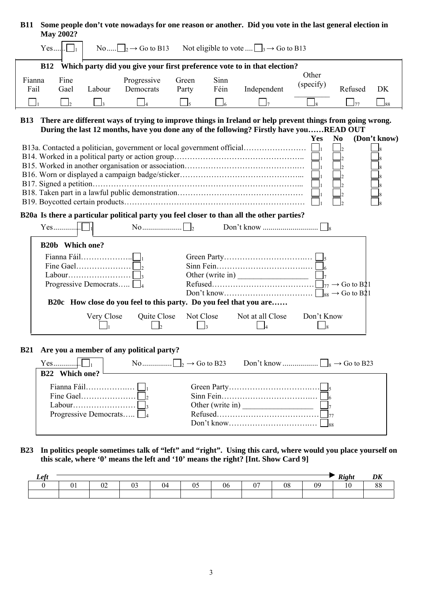| <b>B11</b>     |            | <b>May 2002?</b>       |                              |                                          |                |              | Some people don't vote nowadays for one reason or another. Did you vote in the last general election in                                                                                             |                    |                |              |
|----------------|------------|------------------------|------------------------------|------------------------------------------|----------------|--------------|-----------------------------------------------------------------------------------------------------------------------------------------------------------------------------------------------------|--------------------|----------------|--------------|
|                | $Yes$ .    |                        |                              |                                          |                |              | No $\Box_2 \rightarrow$ Go to B13 Not eligible to vote $\Box_3 \rightarrow$ Go to B13                                                                                                               |                    |                |              |
|                | <b>B12</b> |                        |                              |                                          |                |              | Which party did you give your first preference vote to in that election?                                                                                                                            |                    |                |              |
| Fianna<br>Fail |            | Fine<br>Gael           | Labour                       | Progressive<br>Democrats                 | Green<br>Party | Sinn<br>Féin | Independent                                                                                                                                                                                         | Other<br>(specify) | Refused        | DK           |
|                |            | $\overline{2}$         |                              |                                          | $\mathsf{J}_5$ | $\Box_6$     |                                                                                                                                                                                                     | l8.                | $\mathsf{I}77$ | $\Box_{88}$  |
| <b>B13</b>     |            |                        |                              |                                          |                |              | There are different ways of trying to improve things in Ireland or help prevent things from going wrong.<br>During the last 12 months, have you done any of the following? Firstly have youREAD OUT | <b>Yes</b>         | N <sub>0</sub> | (Don't know) |
|                |            |                        |                              |                                          |                |              |                                                                                                                                                                                                     |                    |                |              |
|                |            |                        |                              |                                          |                |              | B20a Is there a particular political party you feel closer to than all the other parties?                                                                                                           |                    |                |              |
|                |            |                        |                              |                                          |                |              |                                                                                                                                                                                                     |                    |                |              |
|                |            | <b>B20b</b> Which one? | Progressive Democrats $\Box$ |                                          |                |              | Other (write in)                                                                                                                                                                                    |                    |                |              |
|                |            |                        |                              |                                          |                |              | B20c How close do you feel to this party. Do you feel that you are                                                                                                                                  |                    |                |              |
|                |            |                        | Very Close                   | Quite Close                              | Not Close      | I٩           | Not at all Close                                                                                                                                                                                    | Don't Know<br>l8   |                |              |
| <b>B21</b>     |            | B22 Which one?         | Progressive Democrats $\Box$ | Are you a member of any political party? |                |              | Other (write in) $\frac{\Box}{\Box}$                                                                                                                                                                |                    | $\sqrt{88}$    |              |

**B23 In politics people sometimes talk of "left" and "right". Using this card, where would you place yourself on this scale, where '0' means the left and '10' means the right? [Int. Show Card 9]** 

| Left |     |              |        |     |    |          |    | Right<br><b>ALLS</b> | $\mathbf{r}$ |
|------|-----|--------------|--------|-----|----|----------|----|----------------------|--------------|
|      | . . | $\sim$<br>∪∠ | $\sim$ | - - | J6 | ∩∩<br>vc | Ωq |                      | ') L         |
|      |     |              |        |     |    |          |    |                      |              |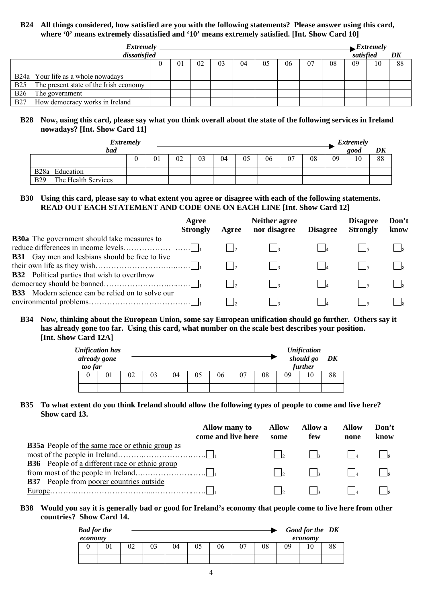## **B24 All things considered, how satisfied are you with the following statements? Please answer using this card, where '0' means extremely dissatisfied and '10' means extremely satisfied. [Int. Show Card 10]**

|            | <i>Extremely</i>                       |    |    |    |    |    |    |    |    |           | $\blacktriangleright$ <i>Extremely</i> |    |
|------------|----------------------------------------|----|----|----|----|----|----|----|----|-----------|----------------------------------------|----|
|            | dissatisfied                           |    |    |    |    |    |    |    |    | satisfied |                                        | DK |
|            |                                        | 01 | 02 | 03 | 04 | 05 | 06 | 07 | 08 | 09        | 10                                     | 88 |
|            | B24a Your life as a whole nowadays     |    |    |    |    |    |    |    |    |           |                                        |    |
| <b>B25</b> | The present state of the Irish economy |    |    |    |    |    |    |    |    |           |                                        |    |
| <b>B26</b> | The government                         |    |    |    |    |    |    |    |    |           |                                        |    |
| <b>B27</b> | How democracy works in Ireland         |    |    |    |    |    |    |    |    |           |                                        |    |

#### **B28 Now, using this card, please say what you think overall about the state of the following services in Ireland nowadays? [Int. Show Card 11]**

| <b>Extremely</b>                  |    |    |    |    |    |    |     |    |    | <i>Extremely</i> |    |
|-----------------------------------|----|----|----|----|----|----|-----|----|----|------------------|----|
| <b>bad</b>                        |    |    |    |    |    |    |     |    |    | good             | DK |
|                                   | 01 | 02 | 03 | 04 | 05 | 06 | -07 | 08 | 09 | 10               | 88 |
| B <sub>28</sub> Education         |    |    |    |    |    |    |     |    |    |                  |    |
| <b>B29</b><br>The Health Services |    |    |    |    |    |    |     |    |    |                  |    |

#### **B30 Using this card, please say to what extent you agree or disagree with each of the following statements. READ OUT EACH STATEMENT AND CODE ONE ON EACH LINE [Int. Show Card 12]**

|                                                                                                                | Agree<br><b>Strongly</b> | Agree | <b>Neither agree</b><br>nor disagree | <b>Disagree</b> | <b>Disagree</b><br><b>Strongly</b> | Don't<br>know |
|----------------------------------------------------------------------------------------------------------------|--------------------------|-------|--------------------------------------|-----------------|------------------------------------|---------------|
| <b>B30a</b> The government should take measures to                                                             |                          |       |                                      |                 |                                    |               |
| <b>B31</b> Gay men and lesbians should be free to live                                                         |                          |       |                                      |                 |                                    |               |
| <b>B32</b> Political parties that wish to overthrow<br><b>B33</b> Modern science can be relied on to solve our |                          |       |                                      |                 |                                    |               |
|                                                                                                                |                          |       |                                      |                 |                                    |               |

## **B34 Now, thinking about the European Union, some say European unification should go further. Others say it has already gone too far. Using this card, what number on the scale best describes your position. [Int. Show Card 12A]**

| too far | <b>Unification has</b><br>already gone |    |    |    |    |    |    |    |    | <b>Unification</b><br>should go<br>further | DK |
|---------|----------------------------------------|----|----|----|----|----|----|----|----|--------------------------------------------|----|
|         | 01                                     | 02 | 03 | 04 | 05 | 06 | 07 | 08 | 09 | 10                                         | 88 |
|         |                                        |    |    |    |    |    |    |    |    |                                            |    |

#### **B35 To what extent do you think Ireland should allow the following types of people to come and live here? Show card 13.**

|                                                        | Allow many to<br>come and live here | <b>Allow</b><br>some     | <b>Allow</b> a<br>few | Allow<br>none | Don't<br>know |
|--------------------------------------------------------|-------------------------------------|--------------------------|-----------------------|---------------|---------------|
| <b>B35a</b> People of the same race or ethnic group as |                                     |                          |                       |               |               |
|                                                        |                                     | $\overline{\phantom{a}}$ | $\mathsf{L}$          | $\mathbf{A}$  |               |
| <b>B36</b> People of a different race or ethnic group  |                                     |                          |                       |               |               |
|                                                        |                                     | $\mathsf{L}$             | $\mathsf{L}$          |               |               |
| <b>B37</b> People from poorer countries outside        |                                     |                          |                       |               |               |
|                                                        |                                     |                          |                       |               |               |
|                                                        |                                     |                          |                       |               |               |

## **B38 Would you say it is generally bad or good for Ireland's economy that people come to live here from other countries? Show Card 14.**

| <b>Bad for the</b> |    |    |    |    |    |    |    |    | Good for the DK |    |
|--------------------|----|----|----|----|----|----|----|----|-----------------|----|
| economy            |    |    |    |    |    |    |    |    | economy         |    |
|                    | 02 | 03 | 04 | 05 | 06 | 07 | 08 | 09 | 10              | 88 |
|                    |    |    |    |    |    |    |    |    |                 |    |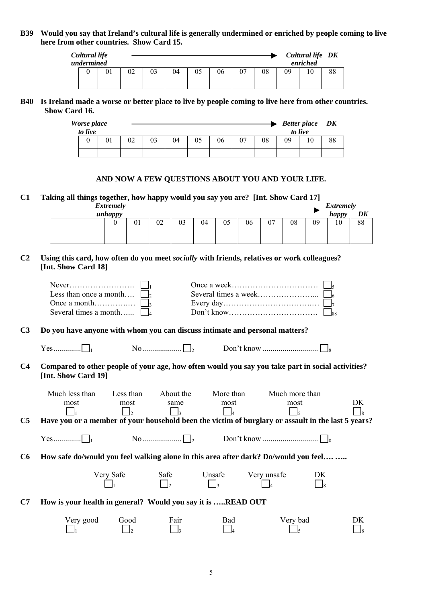## **B39 Would you say that Ireland's cultural life is generally undermined or enriched by people coming to live here from other countries. Show Card 15.**

| Cultural life<br>undermined |    |    |    |    |    |          |    |    | Cultural life DK<br>enriched |    |
|-----------------------------|----|----|----|----|----|----------|----|----|------------------------------|----|
|                             | 02 | 03 | 04 | 05 | 06 | 07<br>U. | 08 | 09 | 10                           | 88 |
|                             |    |    |    |    |    |          |    |    |                              |    |

#### **B40 Is Ireland made a worse or better place to live by people coming to live here from other countries. Show Card 16.**

| Worse place<br>to live |    |    |    |    |    |    |    |    |    | <b>Better place</b><br>to live | DK |
|------------------------|----|----|----|----|----|----|----|----|----|--------------------------------|----|
|                        | 01 | 02 | 03 | 04 | 05 | 06 | 07 | 08 | 09 |                                | 88 |
|                        |    |    |    |    |    |    |    |    |    |                                |    |

#### **AND NOW A FEW QUESTIONS ABOUT YOU AND YOUR LIFE.**

**C1 Taking all things together, how happy would you say you are? [Int. Show Card 17]** 

| _<br>_ | <b>Extremely</b> |    |    |    | . . | . . |    |    |    |    | <b>Extremely</b> |    |
|--------|------------------|----|----|----|-----|-----|----|----|----|----|------------------|----|
|        | unhappy          |    |    |    |     |     |    |    |    |    | happy            | DK |
|        |                  | 01 | 02 | 03 | 04  | 05  | 06 | 07 | 08 | 09 | 1 <sub>0</sub>   | 88 |
|        |                  |    |    |    |     |     |    |    |    |    |                  |    |

## **C2 Using this card, how often do you meet** *socially* **with friends, relatives or work colleagues? [Int. Show Card 18]**

| Less than once a month $\Box$         |  |
|---------------------------------------|--|
|                                       |  |
| Several times a month $\vert \vert_4$ |  |

**C3 Do you have anyone with whom you can discuss intimate and personal matters?** 

 $Yes.$   $\Box$ 

**C4 Compared to other people of your age, how often would you say you take part in social activities? [Int. Show Card 19]** 

|    | Much less than | Less than | About the | More than | Much more than                                                                                     |                          |
|----|----------------|-----------|-----------|-----------|----------------------------------------------------------------------------------------------------|--------------------------|
|    | most           | most      | same      | most      | most                                                                                               | DK                       |
|    |                |           |           |           |                                                                                                    | $\overline{\phantom{a}}$ |
| C5 |                |           |           |           | Have you or a member of your household been the victim of burglary or assault in the last 5 years? |                          |
|    |                |           |           |           |                                                                                                    |                          |
|    |                |           |           |           |                                                                                                    |                          |
|    |                |           |           |           |                                                                                                    |                          |

**C6 How safe do/would you feel walking alone in this area after dark? Do/would you feel…. …..** 

| Very Safe | Safe | Unsafe | Very unsafe | DK             |
|-----------|------|--------|-------------|----------------|
|           |      |        |             | $\overline{Q}$ |

**C7 How is your health in general? Would you say it is …..READ OUT** 

| Very good | Good | Fair | Bad | Very bad |              |
|-----------|------|------|-----|----------|--------------|
|           |      |      |     |          | $\mathbf{R}$ |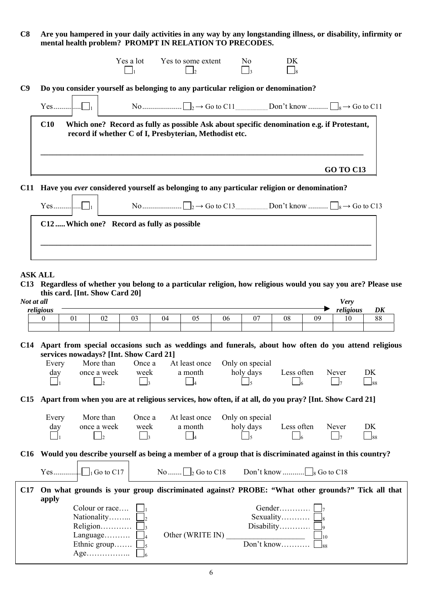**C8 Are you hampered in your daily activities in any way by any longstanding illness, or disability, infirmity or mental health problem? PROMPT IN RELATION TO PRECODES.** 

| C9                                                      | Do you consider yourself as belonging to any particular religion or denomination?                                                                    |  |  |  |  |                          |    |
|---------------------------------------------------------|------------------------------------------------------------------------------------------------------------------------------------------------------|--|--|--|--|--------------------------|----|
|                                                         |                                                                                                                                                      |  |  |  |  |                          |    |
|                                                         |                                                                                                                                                      |  |  |  |  |                          |    |
| C10                                                     | Which one? Record as fully as possible Ask about specific denomination e.g. if Protestant,<br>record if whether C of I, Presbyterian, Methodist etc. |  |  |  |  |                          |    |
|                                                         |                                                                                                                                                      |  |  |  |  |                          |    |
|                                                         | Have you ever considered yourself as belonging to any particular religion or denomination?                                                           |  |  |  |  | <b>GO TO C13</b>         |    |
|                                                         | C12  Which one? Record as fully as possible                                                                                                          |  |  |  |  |                          |    |
| <b>C11</b><br><b>ASK ALL</b><br>Not at all<br>religious | C13 Regardless of whether you belong to a particular religion, how religious would you say you are? Please use<br>this card. [Int. Show Card 20]     |  |  |  |  | <b>Very</b><br>religious | DK |

Every day More than once a week Once a week At least once a month Only on special<br>holy days Less often Never DK 1 2 3 4 5 6 7 88

**C15 Apart from when you are at religious services, how often, if at all, do you pray? [Int. Show Card 21]**

| Every<br>day | More than<br>once a week | Once a<br>week | At least once<br>a month                                                                                                                                                                                                                                                                                            | Only on special<br>holy days                                                                                | Less often | Never                      | DK<br>$\overline{\phantom{0}}_{88}$ |
|--------------|--------------------------|----------------|---------------------------------------------------------------------------------------------------------------------------------------------------------------------------------------------------------------------------------------------------------------------------------------------------------------------|-------------------------------------------------------------------------------------------------------------|------------|----------------------------|-------------------------------------|
|              |                          |                |                                                                                                                                                                                                                                                                                                                     | C16 Would you describe yourself as being a member of a group that is discriminated against in this country? |            |                            |                                     |
| Yes          | $\sqrt{G}$ to $C17$      | $N_{\Omega}$   | $\frac{1}{2}$ $\frac{1}{2}$ $\frac{1}{2}$ $\frac{1}{2}$ $\frac{1}{2}$ $\frac{1}{2}$ $\frac{1}{2}$ $\frac{1}{2}$ $\frac{1}{2}$ $\frac{1}{2}$ $\frac{1}{2}$ $\frac{1}{2}$ $\frac{1}{2}$ $\frac{1}{2}$ $\frac{1}{2}$ $\frac{1}{2}$ $\frac{1}{2}$ $\frac{1}{2}$ $\frac{1}{2}$ $\frac{1}{2}$ $\frac{1}{2}$ $\frac{1}{2}$ | Don't know                                                                                                  |            | $\overline{G}$ Go to $C18$ |                                     |

|     |                                    |                  | $18 \text{ U} \cup 10 \text{ V}$                                                                |
|-----|------------------------------------|------------------|-------------------------------------------------------------------------------------------------|
| C17 |                                    |                  | On what grounds is your group discriminated against? PROBE: "What other grounds?" Tick all that |
|     | apply                              |                  |                                                                                                 |
|     | Colour or race                     |                  |                                                                                                 |
|     | Nationality $\Box$                 |                  | Sexuality $\Box$                                                                                |
|     | Religion                           |                  | Disability  $ _9$                                                                               |
|     | Language                           | Other (WRITE IN) |                                                                                                 |
|     | Ethnic group                       |                  |                                                                                                 |
|     | $Age. \ldots \ldots \ldots \ldots$ |                  |                                                                                                 |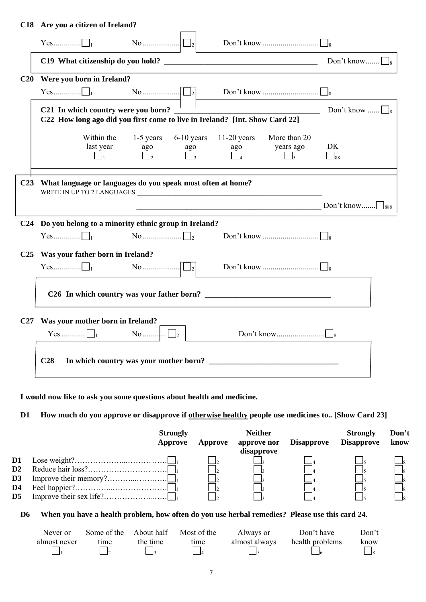## **C18 Are you a citizen of Ireland?**

|                 |                                                                                                                    | $\begin{bmatrix} \begin{bmatrix} 1 \\ 2 \end{bmatrix} \end{bmatrix}$ |     |                                            |                   |
|-----------------|--------------------------------------------------------------------------------------------------------------------|----------------------------------------------------------------------|-----|--------------------------------------------|-------------------|
|                 |                                                                                                                    |                                                                      |     |                                            |                   |
| C20             | Were you born in Ireland?                                                                                          |                                                                      |     |                                            |                   |
|                 |                                                                                                                    |                                                                      |     |                                            |                   |
|                 | C21 In which country were you born?<br>C22 How long ago did you first come to live in Ireland? [Int. Show Card 22] |                                                                      |     |                                            | Don't know $\Box$ |
|                 | Within the<br>last year<br>$\vert \cdot \vert_1$                                                                   | 1-5 years 6-10 years 11-20 years<br>ago<br>ago                       | ago | More than 20<br>years ago<br>$\frac{1}{5}$ | DK<br>$\Box$ 88   |
| C <sub>23</sub> | What language or languages do you speak most often at home?<br>WRITE IN UP TO 2 LANGUAGES                          |                                                                      |     |                                            |                   |
|                 |                                                                                                                    |                                                                      |     |                                            |                   |
| C <sub>24</sub> | Do you belong to a minority ethnic group in Ireland?                                                               |                                                                      |     |                                            |                   |
|                 |                                                                                                                    |                                                                      |     |                                            |                   |
| C <sub>25</sub> | Was your father born in Ireland?                                                                                   |                                                                      |     |                                            |                   |
|                 |                                                                                                                    | No $\Box$ $\Box$                                                     |     |                                            |                   |
|                 |                                                                                                                    | C26 In which country was your father born?                           |     |                                            |                   |
| C27             | Was your mother born in Ireland?<br>Yes $\Box$                                                                     |                                                                      |     |                                            |                   |
|                 | C28                                                                                                                |                                                                      |     |                                            |                   |

**I would now like to ask you some questions about health and medicine.** 

## **D1 How much do you approve or disapprove if otherwise healthy people use medicines to.. [Show Card 23]**

|                          | <b>Strongly</b><br>Approve | Approve | <b>Neither</b><br>approve nor<br>disapprove | <b>Disapprove</b> | <b>Strongly</b><br><b>Disapprove</b> | Don't<br>know |
|--------------------------|----------------------------|---------|---------------------------------------------|-------------------|--------------------------------------|---------------|
| D1                       |                            |         |                                             |                   |                                      |               |
| $\mathbf{D2}$            |                            |         |                                             |                   |                                      |               |
| D3                       |                            |         |                                             |                   |                                      |               |
| D4                       |                            |         |                                             |                   |                                      |               |
| $\overline{\mathbf{D5}}$ |                            |         |                                             |                   |                                      |               |

## **D6 When you have a health problem, how often do you use herbal remedies? Please use this card 24.**

| Never or     | Some of the | About half | Most of the | Always or     | Don't have      | Don't |
|--------------|-------------|------------|-------------|---------------|-----------------|-------|
| almost never | time        | the time   | time        | almost always | health problems | know  |
|              |             |            |             |               |                 |       |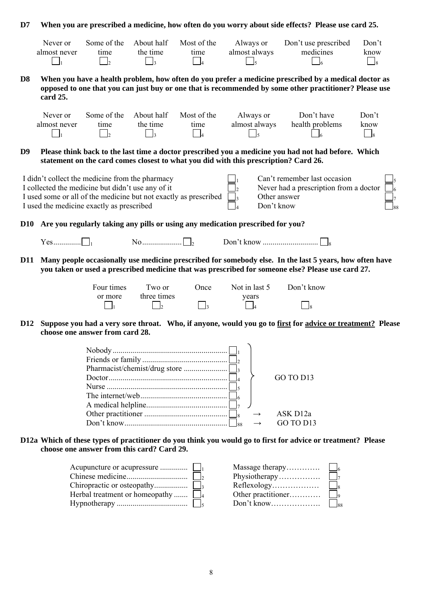| D7             |                                                                                                                                                                                                                                                                                                                                     |                                                   |                                                             |                                                   |                                                                                      | When you are prescribed a medicine, how often do you worry about side effects? Please use card 25.                                                                                                             |                         |
|----------------|-------------------------------------------------------------------------------------------------------------------------------------------------------------------------------------------------------------------------------------------------------------------------------------------------------------------------------------|---------------------------------------------------|-------------------------------------------------------------|---------------------------------------------------|--------------------------------------------------------------------------------------|----------------------------------------------------------------------------------------------------------------------------------------------------------------------------------------------------------------|-------------------------|
|                | Never or<br>almost never<br>$\Box_1$                                                                                                                                                                                                                                                                                                | Some of the<br>time<br>$\overline{\phantom{0}}$ 2 | About half<br>the time<br>$\Box_3$                          | Most of the<br>time<br>$\overline{\phantom{0}}$ 4 | Always or<br>almost always<br>$\Box$ <sub>5</sub>                                    | Don't use prescribed<br>medicines<br>$\overline{\phantom{0}}$ 6                                                                                                                                                | Don't<br>know<br>$\Box$ |
| D <sub>8</sub> | card 25.                                                                                                                                                                                                                                                                                                                            |                                                   |                                                             |                                                   |                                                                                      | When you have a health problem, how often do you prefer a medicine prescribed by a medical doctor as<br>opposed to one that you can just buy or one that is recommended by some other practitioner? Please use |                         |
|                | Never or<br>almost never<br>$\Box_1$                                                                                                                                                                                                                                                                                                | Some of the<br>time<br>$\Box$ 2                   | About half<br>the time<br>$\begin{bmatrix} 1 \end{bmatrix}$ | Most of the<br>time<br>$\Box_4$                   | Always or<br>almost always<br>$\Box$ <sub>5</sub>                                    | Don't have<br>health problems                                                                                                                                                                                  | Don't<br>know<br>$\Box$ |
| D <sub>9</sub> |                                                                                                                                                                                                                                                                                                                                     |                                                   |                                                             |                                                   | statement on the card comes closest to what you did with this prescription? Card 26. | Please think back to the last time a doctor prescribed you a medicine you had not had before. Which                                                                                                            |                         |
|                | Can't remember last occasion<br>I didn't collect the medicine from the pharmacy<br>I collected the medicine but didn't use any of it<br>Never had a prescription from a doctor<br>I used some or all of the medicine but not exactly as prescribed<br>Other answer<br>Don't know<br>I used the medicine exactly as prescribed<br>88 |                                                   |                                                             |                                                   |                                                                                      |                                                                                                                                                                                                                |                         |
| <b>D10</b>     |                                                                                                                                                                                                                                                                                                                                     |                                                   |                                                             |                                                   | Are you regularly taking any pills or using any medication prescribed for you?       |                                                                                                                                                                                                                |                         |
|                |                                                                                                                                                                                                                                                                                                                                     |                                                   |                                                             |                                                   |                                                                                      |                                                                                                                                                                                                                |                         |
| <b>D11</b>     |                                                                                                                                                                                                                                                                                                                                     |                                                   |                                                             |                                                   |                                                                                      | Many people occasionally use medicine prescribed for somebody else. In the last 5 years, how often have<br>you taken or used a prescribed medicine that was prescribed for someone else? Please use card 27.   |                         |
|                |                                                                                                                                                                                                                                                                                                                                     | Four times<br>or more<br>$\Box$                   | Two or<br>three times<br>$\mathsf{I}_2$                     | Once<br>$\vert$ <sub>3</sub>                      | Not in last 5<br>years                                                               | Don't know<br>$\Big _8$                                                                                                                                                                                        |                         |
| <b>D12</b>     |                                                                                                                                                                                                                                                                                                                                     | choose one answer from card 28.                   |                                                             |                                                   |                                                                                      | Suppose you had a very sore throat. Who, if anyone, would you go to first for advice or treatment? Please                                                                                                      |                         |
|                |                                                                                                                                                                                                                                                                                                                                     |                                                   |                                                             |                                                   |                                                                                      |                                                                                                                                                                                                                |                         |
|                |                                                                                                                                                                                                                                                                                                                                     |                                                   |                                                             |                                                   |                                                                                      | GO TO D13                                                                                                                                                                                                      |                         |
|                |                                                                                                                                                                                                                                                                                                                                     |                                                   |                                                             |                                                   | $\rightarrow$<br>$\log$                                                              | ASK D12a<br>GO TO D13                                                                                                                                                                                          |                         |
|                |                                                                                                                                                                                                                                                                                                                                     |                                                   |                                                             |                                                   |                                                                                      | D12a Which of these types of practitioner do you think you would go to first for advice or treatment? Please                                                                                                   |                         |
|                |                                                                                                                                                                                                                                                                                                                                     | choose one answer from this card? Card 29.        |                                                             |                                                   |                                                                                      |                                                                                                                                                                                                                |                         |
|                |                                                                                                                                                                                                                                                                                                                                     |                                                   |                                                             |                                                   |                                                                                      | Massage therapy                                                                                                                                                                                                |                         |

|                                       |  | $\begin{array}{c} \hline \end{array}$ |
|---------------------------------------|--|---------------------------------------|
| Herbal treatment or homeopathy $\Box$ |  |                                       |
|                                       |  |                                       |
|                                       |  |                                       |

| Massage therapy    |  |
|--------------------|--|
| Physiotherapy      |  |
| Reflexology        |  |
| Other practitioner |  |
| Don't know         |  |
|                    |  |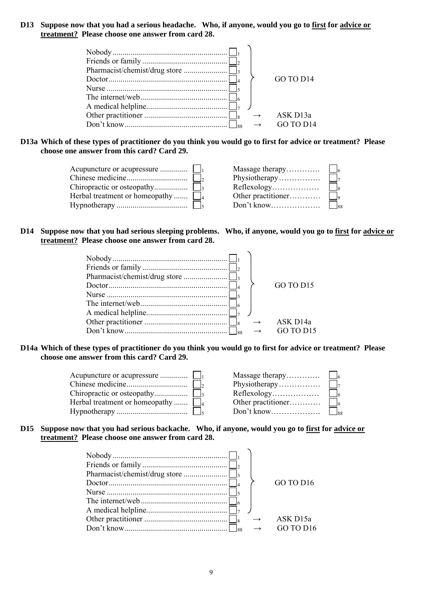## **D13 Suppose now that you had a serious headache. Who, if anyone, would you go to first for advice or treatment? Please choose one answer from card 28.**

|       | GO TO D <sub>14</sub> |
|-------|-----------------------|
|       | ASK D <sub>13a</sub>  |
| - 188 |                       |

#### **D13a Which of these types of practitioner do you think you would go to first for advice or treatment? Please choose one answer from this card? Card 29.**

|                                       |                                            | $\vert$ $\vert$ 8 |
|---------------------------------------|--------------------------------------------|-------------------|
| Herbal treatment or homeopathy $\Box$ |                                            |                   |
|                                       | $Don't know \dots \dots \dots \dots \dots$ | $\frac{1}{88}$    |

## **D14 Suppose now that you had serious sleeping problems. Who, if anyone, would you go to first for advice or treatment? Please choose one answer from card 28.**

|  | GO TO D <sub>15</sub> |
|--|-----------------------|
|  | ASK D <sub>14a</sub>  |
|  |                       |

## **D14a Which of these types of practitioner do you think you would go to first for advice or treatment? Please choose one answer from this card? Card 29.**

| Herbal treatment or homeopathy $\Box$ | Physiotherapy<br>Other practitioner<br>$Don't know \dots \dots \dots \dots \dots$ | $\vert \vert_7$<br>$\begin{vmatrix} 1 & 1 & 0 \\ 0 & 0 & 0 \\ 0 & 0 & 0 \\ 0 & 0 & 0 \\ 0 & 0 & 0 \\ 0 & 0 & 0 \\ 0 & 0 & 0 & 0 \\ 0 & 0 & 0 & 0 \\ 0 & 0 & 0 & 0 \\ 0 & 0 & 0 & 0 \\ 0 & 0 & 0 & 0 & 0 \\ 0 & 0 & 0 & 0 & 0 \\ 0 & 0 & 0 & 0 & 0 \\ 0 & 0 & 0 & 0 & 0 & 0 \\ 0 & 0 & 0 & 0 & 0 & 0 \\ 0 & 0 & 0 & 0 & 0 & 0 \\ 0 & 0 & 0 & 0 & $<br>$\frac{1}{88}$ |
|---------------------------------------|-----------------------------------------------------------------------------------|---------------------------------------------------------------------------------------------------------------------------------------------------------------------------------------------------------------------------------------------------------------------------------------------------------------------------------------------------------------------|
|---------------------------------------|-----------------------------------------------------------------------------------|---------------------------------------------------------------------------------------------------------------------------------------------------------------------------------------------------------------------------------------------------------------------------------------------------------------------------------------------------------------------|

## **D15 Suppose now that you had serious backache. Who, if anyone, would you go to first for advice or treatment? Please choose one answer from card 28.**

|  | GO TO D <sub>16</sub>                         |
|--|-----------------------------------------------|
|  | ASK D <sub>15a</sub><br>GO TO D <sub>16</sub> |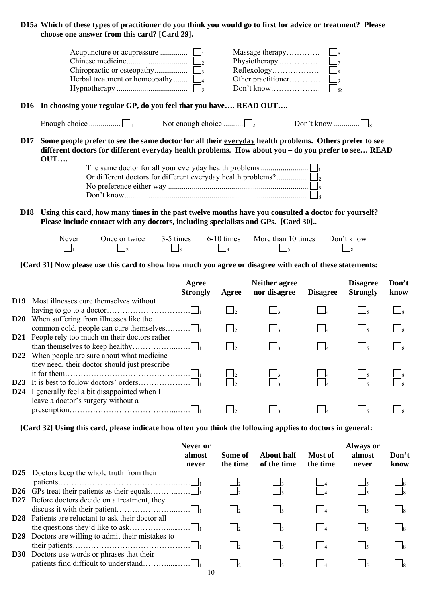#### **D15a Which of these types of practitioner do you think you would go to first for advice or treatment? Please choose one answer from this card? [Card 29].**

|                                                                     | Massage therapy    |                          |
|---------------------------------------------------------------------|--------------------|--------------------------|
|                                                                     | Physiotherapy      | $\overline{a}$           |
|                                                                     |                    | $\overline{\mathbf{Q}}$  |
| Herbal treatment or homeopathy $\Box$                               | Other practitioner | $\overline{\phantom{a}}$ |
|                                                                     |                    | $\frac{1}{88}$           |
| D16 In choosing your regular GP, do you feel that you have READ OUT |                    |                          |

Enough choice  $\Box$   $\Box$  Not enough choice  $\Box$   $\Box$  Don't know  $\Box$ 

**D17 Some people prefer to see the same doctor for all their everyday health problems. Others prefer to see different doctors for different everyday health problems. How about you – do you prefer to see… READ OUT….** 

**D18 Using this card, how many times in the past twelve months have you consulted a doctor for yourself? Please include contact with any doctors, including specialists and GPs. [Card 30]..** 

| Never | Once or twice | 3-5 times | $6-10$ times | More than 10 times | Don't know |
|-------|---------------|-----------|--------------|--------------------|------------|
|       |               |           |              |                    |            |

**[Card 31] Now please use this card to show how much you agree or disagree with each of these statements:** 

|                 | Agree<br><b>Strongly</b>                                                                  | Agree | <b>Neither agree</b><br>nor disagree | <b>Disagree</b> | <b>Disagree</b><br><b>Strongly</b> | Don't<br>know |
|-----------------|-------------------------------------------------------------------------------------------|-------|--------------------------------------|-----------------|------------------------------------|---------------|
| D <sub>19</sub> | Most illnesses cure themselves without                                                    |       |                                      |                 |                                    |               |
|                 |                                                                                           |       |                                      |                 |                                    |               |
| <b>D20</b>      | When suffering from illnesses like the                                                    |       |                                      |                 |                                    |               |
|                 | <b>D21</b> People rely too much on their doctors rather                                   |       |                                      |                 |                                    |               |
| <b>D22</b>      | When people are sure about what medicine<br>they need, their doctor should just prescribe |       |                                      |                 |                                    |               |
| D <sub>23</sub> | <b>D24</b> I generally feel a bit disappointed when I                                     |       |                                      |                 |                                    |               |
|                 | leave a doctor's surgery without a                                                        |       |                                      |                 |                                    |               |

**[Card 32] Using this card, please indicate how often you think the following applies to doctors in general:** 

|                 |                                                           | Never or<br>almost<br>never | Some of<br>the time | About half<br>of the time | Most of<br>the time | <b>Always or</b><br>almost<br>never | Don't<br>know |
|-----------------|-----------------------------------------------------------|-----------------------------|---------------------|---------------------------|---------------------|-------------------------------------|---------------|
| D <sub>25</sub> | Doctors keep the whole truth from their                   |                             |                     |                           |                     |                                     |               |
| D <sub>26</sub> |                                                           |                             |                     |                           |                     |                                     |               |
| D <sub>27</sub> | Before doctors decide on a treatment, they                |                             |                     | $\frac{1}{3}$             |                     |                                     |               |
|                 | <b>D28</b> Patients are reluctant to ask their doctor all |                             |                     | $\vert$ 3                 |                     |                                     |               |
| D <sub>29</sub> | Doctors are willing to admit their mistakes to            |                             |                     | $\vert$ 3                 |                     |                                     |               |
| <b>D30</b>      | Doctors use words or phrases that their                   | 10                          |                     |                           |                     |                                     |               |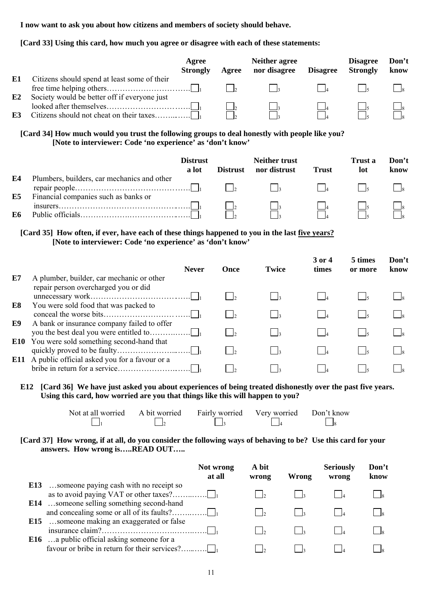**I now want to ask you about how citizens and members of society should behave.** 

## **[Card 33] Using this card, how much you agree or disagree with each of these statements:**

|          |                                                                                              | Agree<br><b>Strongly</b> | Agree | Neither agree<br>nor disagree | <b>Disagree</b> | <b>Disagree</b><br><b>Strongly</b> | Don't<br>know |
|----------|----------------------------------------------------------------------------------------------|--------------------------|-------|-------------------------------|-----------------|------------------------------------|---------------|
| E1<br>E2 | Citizens should spend at least some of their<br>Society would be better off if everyone just |                          |       | $\overline{\phantom{a}}$      |                 |                                    |               |
| E3       |                                                                                              |                          |       |                               |                 |                                    |               |

## **[Card 34] How much would you trust the following groups to deal honestly with people like you? [Note to interviewer: Code 'no experience' as 'don't know'**

|          |                                                                                     | <b>Distrust</b><br>a lot | <b>Distrust</b> | Neither trust<br>nor distrust | <b>Trust</b> | Trust a<br>lot | Don't<br>know |
|----------|-------------------------------------------------------------------------------------|--------------------------|-----------------|-------------------------------|--------------|----------------|---------------|
| E4<br>E5 | Plumbers, builders, car mechanics and other<br>Financial companies such as banks or |                          |                 | $\vert \cdot \vert_2$         |              |                |               |
| E6       |                                                                                     |                          |                 |                               |              |                |               |

## **[Card 35] How often, if ever, have each of these things happened to you in the last five years? [Note to interviewer: Code 'no experience' as 'don't know'**

|    | <b>Never</b>                                        | Once | <b>Twice</b> | 3 or 4<br>times | 5 times<br>or more | Don't<br>know |
|----|-----------------------------------------------------|------|--------------|-----------------|--------------------|---------------|
| E7 | A plumber, builder, car mechanic or other           |      |              |                 |                    |               |
|    | repair person overcharged you or did                |      |              |                 |                    |               |
| E8 | You were sold food that was packed to               |      |              |                 |                    |               |
| E9 | A bank or insurance company failed to offer         |      |              |                 |                    |               |
|    | <b>E10</b> You were sold something second-hand that |      |              |                 |                    |               |
|    | E11 A public official asked you for a favour or a   |      |              |                 |                    |               |

#### **E12 [Card 36] We have just asked you about experiences of being treated dishonestly over the past five years. Using this card, how worried are you that things like this will happen to you?**

| Not at all worried | A bit worried | Fairly worried Very worried | Don't know |
|--------------------|---------------|-----------------------------|------------|
|                    |               |                             |            |

## **[Card 37] How wrong, if at all, do you consider the following ways of behaving to be? Use this card for your answers. How wrong is…..READ OUT…..**

|                                                                                                    | Not wrong<br>at all | A bit<br>wrong | Wrong | <b>Seriously</b><br>wrong | Don't<br>know |
|----------------------------------------------------------------------------------------------------|---------------------|----------------|-------|---------------------------|---------------|
| <b>E13</b> someone paying cash with no receipt so                                                  |                     |                |       |                           |               |
| <b>E14</b> someone selling something second-hand                                                   |                     |                |       |                           |               |
| <b>E15</b> someone making an exaggerated or false                                                  |                     |                |       |                           |               |
| <b>E16</b> a public official asking someone for a<br>favour or bribe in return for their services? |                     |                |       |                           |               |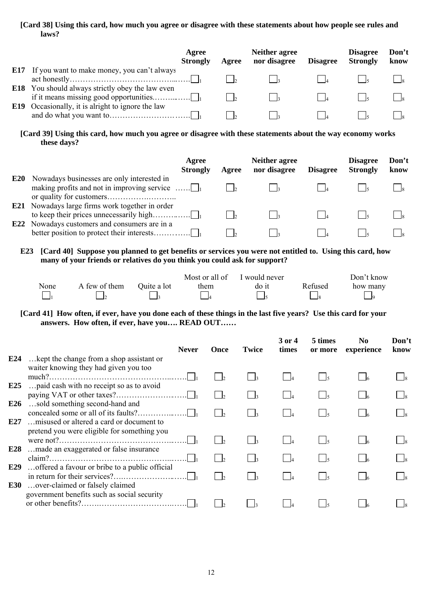## **[Card 38] Using this card, how much you agree or disagree with these statements about how people see rules and laws?**

|                                                                                                                     | Agree<br><b>Strongly</b> | Agree | Neither agree<br>nor disagree | <b>Disagree</b> | <b>Disagree</b><br><b>Strongly</b> | Don't<br>know |
|---------------------------------------------------------------------------------------------------------------------|--------------------------|-------|-------------------------------|-----------------|------------------------------------|---------------|
| <b>E17</b> If you want to make money, you can't always                                                              |                          |       | $\overline{a}$                |                 |                                    |               |
| <b>E18</b> You should always strictly obey the law even<br><b>E19</b> Occasionally, it is alright to ignore the law |                          |       |                               |                 |                                    |               |
|                                                                                                                     |                          |       |                               |                 |                                    |               |

**[Card 39] Using this card, how much you agree or disagree with these statements about the way economy works these days?** 

|                 |                                                                                                             | Agree<br><b>Strongly</b> | Agree | <b>Neither agree</b><br>nor disagree | <b>Disagree</b> | <b>Disagree</b><br><b>Strongly</b> | Don't<br>know |
|-----------------|-------------------------------------------------------------------------------------------------------------|--------------------------|-------|--------------------------------------|-----------------|------------------------------------|---------------|
| E <sub>20</sub> | Nowadays businesses are only interested in<br>making profits and not in improving service $\dots \square_1$ |                          |       |                                      |                 |                                    |               |
| E22             | <b>E21</b> Nowadays large firms work together in order<br>Nowadays customers and consumers are in a         |                          |       |                                      |                 |                                    |               |
|                 |                                                                                                             |                          |       |                                      |                 |                                    |               |

## **E23 [Card 40] Suppose you planned to get benefits or services you were not entitled to. Using this card, how many of your friends or relatives do you think you could ask for support?**

|      |               |             | Most or all of | I would never |         | Don't know |
|------|---------------|-------------|----------------|---------------|---------|------------|
| None | A few of them | Ouite a lot | them           | do it         | Refused | how many   |
|      |               |             |                |               |         |            |

**[Card 41] How often, if ever, have you done each of these things in the last five years? Use this card for your answers. How often, if ever, have you…. READ OUT……** 

|                        | <b>Never</b>                                                                      | Once | <b>Twice</b> | $3$ or $4$<br>times                               | 5 times<br>or more | N <sub>0</sub><br>experience | Don't<br>know |
|------------------------|-----------------------------------------------------------------------------------|------|--------------|---------------------------------------------------|--------------------|------------------------------|---------------|
| E24                    | kept the change from a shop assistant or                                          |      |              |                                                   |                    |                              |               |
|                        | waiter knowing they had given you too                                             |      |              |                                                   |                    |                              |               |
| E <sub>25</sub>        | paid cash with no receipt so as to avoid                                          |      |              |                                                   |                    |                              |               |
| E <sub>26</sub><br>E27 | sold something second-hand and<br>misused or altered a card or document to        |      |              | $\begin{array}{ c c c }\n\hline\n&4\n\end{array}$ |                    |                              |               |
|                        | pretend you were eligible for something you                                       |      |              |                                                   |                    |                              |               |
| E28                    | made an exaggerated or false insurance                                            |      |              |                                                   |                    |                              |               |
| E29<br>E30             | offered a favour or bribe to a public official<br>over-claimed or falsely claimed |      |              |                                                   |                    |                              |               |
|                        | government benefits such as social security                                       |      |              |                                                   |                    |                              |               |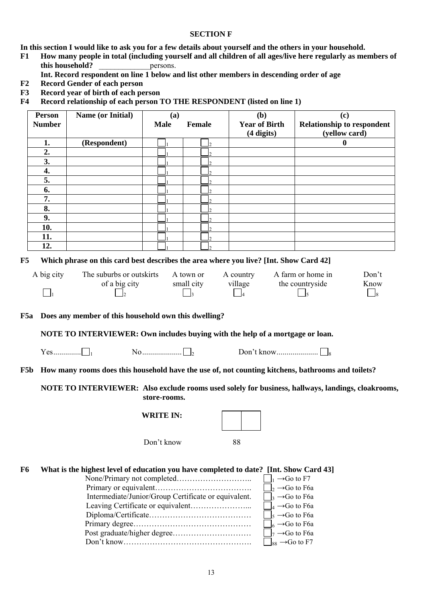#### **SECTION F**

**In this section I would like to ask you for a few details about yourself and the others in your household.** 

- **F1 How many people in total (including yourself and all children of all ages/live here regularly as members of this household? example persons.** 
	- **Int. Record respondent on line 1 below and list other members in descending order of age**
- **F2 Record Gender of each person**
- **F3 Record year of birth of each person**
- **F4 Record relationship of each person TO THE RESPONDENT (listed on line 1)**

|                 | <b>Person</b><br><b>Number</b> | Name (or Initial)                                                                                 | (a)<br><b>Male</b><br>Female |            | (b)<br><b>Year of Birth</b><br>$(4 \text{ digits})$ |                                       | (c)<br><b>Relationship to respondent</b><br>(yellow card) |        |
|-----------------|--------------------------------|---------------------------------------------------------------------------------------------------|------------------------------|------------|-----------------------------------------------------|---------------------------------------|-----------------------------------------------------------|--------|
|                 | 1.                             | (Respondent)                                                                                      |                              |            |                                                     |                                       | $\bf{0}$                                                  |        |
|                 | 2.                             |                                                                                                   |                              |            |                                                     |                                       |                                                           |        |
|                 | 3.                             |                                                                                                   |                              |            |                                                     |                                       |                                                           |        |
|                 | 4.                             |                                                                                                   |                              |            |                                                     |                                       |                                                           |        |
|                 | 5.                             |                                                                                                   |                              |            |                                                     |                                       |                                                           |        |
|                 | 6.                             |                                                                                                   |                              |            |                                                     |                                       |                                                           |        |
|                 | 7.                             |                                                                                                   |                              |            |                                                     |                                       |                                                           |        |
|                 | 8.                             |                                                                                                   |                              |            |                                                     |                                       |                                                           |        |
|                 | 9.                             |                                                                                                   |                              |            |                                                     |                                       |                                                           |        |
|                 | 10.                            |                                                                                                   |                              |            |                                                     |                                       |                                                           |        |
|                 | 11.                            |                                                                                                   |                              |            |                                                     |                                       |                                                           |        |
|                 | 12.                            |                                                                                                   |                              |            |                                                     |                                       |                                                           |        |
|                 |                                |                                                                                                   |                              |            |                                                     |                                       |                                                           |        |
| F5              |                                | Which phrase on this card best describes the area where you live? [Int. Show Card 42]             |                              |            |                                                     |                                       |                                                           |        |
|                 | A big city                     | The suburbs or outskirts                                                                          |                              | A town or  | A country                                           |                                       | A farm or home in                                         | Don't  |
|                 |                                | of a big city                                                                                     |                              | small city | village                                             |                                       | the countryside                                           | Know   |
|                 | $\vert$ 1                      |                                                                                                   |                              |            |                                                     |                                       |                                                           | $\Box$ |
|                 |                                |                                                                                                   |                              |            |                                                     |                                       |                                                           |        |
| F <sub>5a</sub> |                                | Does any member of this household own this dwelling?                                              |                              |            |                                                     |                                       |                                                           |        |
|                 |                                | NOTE TO INTERVIEWER: Own includes buying with the help of a mortgage or loan.                     |                              |            |                                                     |                                       |                                                           |        |
|                 |                                |                                                                                                   |                              |            |                                                     |                                       |                                                           |        |
| F5b             |                                | How many rooms does this household have the use of, not counting kitchens, bathrooms and toilets? |                              |            |                                                     |                                       |                                                           |        |
|                 |                                | NOTE TO INTERVIEWER: Also exclude rooms used solely for business, hallways, landings, cloakrooms, | store-rooms.                 |            |                                                     |                                       |                                                           |        |
|                 |                                |                                                                                                   | <b>WRITE IN:</b>             |            |                                                     |                                       |                                                           |        |
|                 |                                |                                                                                                   | Don't know                   |            | 88                                                  |                                       |                                                           |        |
| F6              |                                | What is the highest level of education you have completed to date? [Int. Show Card 43]            |                              |            |                                                     | $\Box_1 \rightarrow$ Go to F7         |                                                           |        |
|                 |                                |                                                                                                   |                              |            |                                                     | $\Box_2 \rightarrow$ Go to F6a        |                                                           |        |
|                 |                                | Intermediate/Junior/Group Certificate or equivalent.                                              |                              |            |                                                     | $\frac{1}{3}$ $\rightarrow$ Go to F6a |                                                           |        |
|                 |                                |                                                                                                   |                              |            |                                                     | $\Box_4 \rightarrow$ Go to F6a        |                                                           |        |
|                 |                                |                                                                                                   |                              |            |                                                     | $\Box_5 \rightarrow$ Go to F6a        |                                                           |        |
|                 |                                |                                                                                                   |                              |            |                                                     | $\rfloor_6 \rightarrow$ Go to F6a     |                                                           |        |
|                 |                                |                                                                                                   |                              |            |                                                     | $\vert_7 \rightarrow$ Go to F6a       |                                                           |        |
|                 |                                |                                                                                                   |                              |            |                                                     | $\vert_{88} \rightarrow$ Go to F7     |                                                           |        |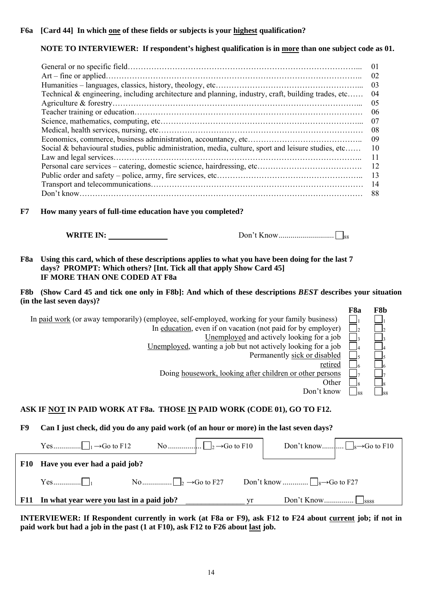## **NOTE TO INTERVIEWER: If respondent's highest qualification is in more than one subject code as 01.**

|                                                                                                     | 01 |
|-----------------------------------------------------------------------------------------------------|----|
|                                                                                                     | 02 |
|                                                                                                     | 03 |
| Technical & engineering, including architecture and planning, industry, craft, building trades, etc | 04 |
|                                                                                                     | 05 |
|                                                                                                     | 06 |
|                                                                                                     | 07 |
|                                                                                                     | 08 |
|                                                                                                     | 09 |
| Social & behavioural studies, public administration, media, culture, sport and leisure studies, etc | 10 |
|                                                                                                     | 11 |
|                                                                                                     | 12 |
|                                                                                                     | 13 |
|                                                                                                     | 14 |
|                                                                                                     | 88 |

**F7 How many years of full-time education have you completed?** 

 **WRITE IN:** Don't Know............................ 88

**F8a Using this card, which of these descriptions applies to what you have been doing for the last 7 days? PROMPT: Which others? [Int. Tick all that apply Show Card 45] IF MORE THAN ONE CODED AT F8a** 

**F8b (Show Card 45 and tick one only in F8b]: And which of these descriptions** *BEST* **describes your situation (in the last seven days)?** 

|                                                                                                | F <sub>8a</sub> | F8b  |
|------------------------------------------------------------------------------------------------|-----------------|------|
| In paid work (or away temporarily) (employee, self-employed, working for your family business) |                 |      |
| In education, even if on vacation (not paid for by employer)                                   |                 |      |
| Unemployed and actively looking for a job                                                      |                 |      |
| Unemployed, wanting a job but not actively looking for a job                                   |                 |      |
| Permanently sick or disabled                                                                   |                 |      |
| retired                                                                                        |                 |      |
| Doing housework, looking after children or other persons                                       |                 |      |
| Other                                                                                          |                 |      |
| Don't know                                                                                     | -88             | - 88 |
|                                                                                                |                 |      |
|                                                                                                |                 |      |

## ASK IF NOT IN PAID WORK AT F8a. THOSE IN PAID WORK (CODE 01), GO TO F12.

**F9 Can I just check, did you do any paid work (of an hour or more) in the last seven days?** 

| <b>F10</b> | Have you ever had a paid job?             |     |                                           |
|------------|-------------------------------------------|-----|-------------------------------------------|
|            |                                           |     | Don't know $\Box_8 \rightarrow$ Go to F27 |
| <b>F11</b> | In what year were you last in a paid job? | vr. |                                           |

**INTERVIEWER: If Respondent currently in work (at F8a or F9), ask F12 to F24 about current job; if not in paid work but had a job in the past (1 at F10), ask F12 to F26 about last job.**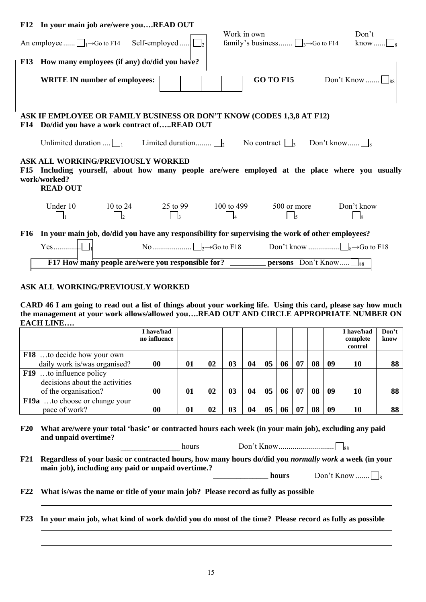|            | F12 In your main job are/were youREAD OUT                                   |                |                                                                                                                         |             |                                                  |                                                                                               |
|------------|-----------------------------------------------------------------------------|----------------|-------------------------------------------------------------------------------------------------------------------------|-------------|--------------------------------------------------|-----------------------------------------------------------------------------------------------|
|            | An employee $\Box_1 \rightarrow$ Go to F14 Self-employed                    |                |                                                                                                                         | Work in own | family's business $\Box_3 \rightarrow$ Go to F14 | Don't<br>know                                                                                 |
|            | <b>F13</b> How many employees (if any) do/did you have?                     |                |                                                                                                                         |             |                                                  |                                                                                               |
|            | <b>WRITE IN number of employees:</b>                                        |                |                                                                                                                         |             | <b>GO TO F15</b>                                 | Don't Know $\Box$                                                                             |
|            |                                                                             |                | ASK IF EMPLOYEE OR FAMILY BUSINESS OR DON'T KNOW (CODES 1,3,8 AT F12)<br>F14 Do/did you have a work contract ofREAD OUT |             |                                                  |                                                                                               |
|            |                                                                             |                | Unlimited duration $\[\]_1$ Limited duration $\[\]_2$                                                                   |             | No contract $\vert \cdot \vert_3$                | Don't know                                                                                    |
| <b>F15</b> | <b>ASK ALL WORKING/PREVIOUSLY WORKED</b><br>work/worked?<br><b>READ OUT</b> |                |                                                                                                                         |             |                                                  | Including yourself, about how many people are/were employed at the place where you usually    |
|            | Under 10                                                                    | 10 to 24<br>I٥ | 25 to 99                                                                                                                | 100 to 499  | 500 or more                                      | Don't know                                                                                    |
| <b>F16</b> |                                                                             |                | In your main job, do/did you have any responsibility for supervising the work of other employees?                       |             |                                                  |                                                                                               |
|            |                                                                             |                |                                                                                                                         |             |                                                  | No $\ldots$ $\Box_2 \rightarrow$ Go to F18 Don't know $\ldots$ $\Box_8 \rightarrow$ Go to F18 |
|            |                                                                             |                | F17 How many people are/were you responsible for?                                                                       |             | <b>persons</b> Don't Know                        | 88                                                                                            |

#### **ASK ALL WORKING/PREVIOUSLY WORKED**

**CARD 46 I am going to read out a list of things about your working life. Using this card, please say how much the management at your work allows/allowed you….READ OUT AND CIRCLE APPROPRIATE NUMBER ON EACH LINE….** 

|                                      | I have/had   |    |    |    |    |    |    |    |    |    | I have/had | Don't |
|--------------------------------------|--------------|----|----|----|----|----|----|----|----|----|------------|-------|
|                                      | no influence |    |    |    |    |    |    |    |    |    | complete   | know  |
|                                      |              |    |    |    |    |    |    |    |    |    | control    |       |
| <b>F18</b> to decide how your own    |              |    |    |    |    |    |    |    |    |    |            |       |
| daily work is/was organised?         | 00           | 01 | 02 | 03 | 04 | 05 | 06 | 07 | 08 | 09 | 10         | 88    |
| <b>F19</b> to influence policy       |              |    |    |    |    |    |    |    |    |    |            |       |
| decisions about the activities       |              |    |    |    |    |    |    |    |    |    |            |       |
| of the organisation?                 | 00           | 01 | 02 | 03 | 04 | 05 | 06 | 07 | 08 | 09 | 10         | 88    |
| <b>F19a</b> to choose or change your |              |    |    |    |    |    |    |    |    |    |            |       |
| pace of work?                        | $\bf{00}$    | 01 | 02 | 03 | 04 | 05 | 06 | 07 | 08 | 09 | 10         | 88    |

#### **F20 What are/were your total 'basic' or contracted hours each week (in your main job), excluding any paid and unpaid overtime?**

**F21 Regardless of your basic or contracted hours, how many hours do/did you** *normally work* **a week (in your main job), including any paid or unpaid overtime.?** 

\_\_\_\_\_\_\_\_\_\_\_\_\_\_\_ hoursDon't Know............................ 88

**hours** Don't Know .......  $\Box$ 

**F22 What is/was the name or title of your main job? Please record as fully as possible** 

**F23 In your main job, what kind of work do/did you do most of the time? Please record as fully as possible**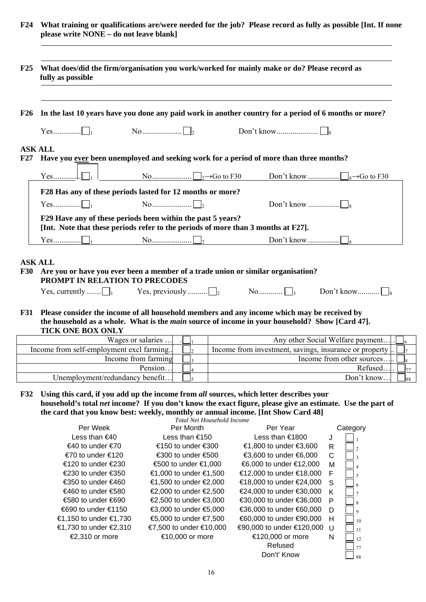**F24 What training or qualifications are/were needed for the job? Please record as fully as possible [Int. If none please write NONE – do not leave blank]** 

|            | fully as possible                                |                                                                                                                                                  |                                                                                                                                                                                                      |
|------------|--------------------------------------------------|--------------------------------------------------------------------------------------------------------------------------------------------------|------------------------------------------------------------------------------------------------------------------------------------------------------------------------------------------------------|
| F26        |                                                  |                                                                                                                                                  | In the last 10 years have you done any paid work in another country for a period of 6 months or more?                                                                                                |
|            |                                                  |                                                                                                                                                  |                                                                                                                                                                                                      |
|            | <b>ASK ALL</b>                                   |                                                                                                                                                  |                                                                                                                                                                                                      |
| F27        |                                                  |                                                                                                                                                  | Have you ever been unemployed and seeking work for a period of more than three months?                                                                                                               |
|            |                                                  |                                                                                                                                                  | $\Box_1$ No $\Box_2 \rightarrow$ Go to F30 Don't know $\Box_8 \rightarrow$ Go to F30                                                                                                                 |
|            |                                                  | F28 Has any of these periods lasted for 12 months or more?                                                                                       |                                                                                                                                                                                                      |
|            |                                                  |                                                                                                                                                  |                                                                                                                                                                                                      |
|            |                                                  | F29 Have any of these periods been within the past 5 years?<br>[Int. Note that these periods refer to the periods of more than 3 months at F27]. |                                                                                                                                                                                                      |
|            |                                                  |                                                                                                                                                  |                                                                                                                                                                                                      |
| <b>F30</b> | <b>ASK ALL</b><br>PROMPT IN RELATION TO PRECODES | Are you or have you ever been a member of a trade union or similar organisation?                                                                 |                                                                                                                                                                                                      |
|            |                                                  |                                                                                                                                                  |                                                                                                                                                                                                      |
| <b>F31</b> | <b>TICK ONE BOX ONLY</b>                         |                                                                                                                                                  | Please consider the income of all household members and any income which may be received by<br>the household as a whole. What is the <i>main</i> source of income in your household? Show [Card 47]. |

| Wages or salaries                         | Any other Social Welfare payment                          |
|-------------------------------------------|-----------------------------------------------------------|
| Income from self-employment excl farming. | Income from investment, savings, insurance or property  . |
| Income from farming                       | Income from other sources                                 |
| Pension                                   | Refused                                                   |
| Unemployment/redundancy benefit           | Don't know                                                |

**F32 Using this card, if you add up the income from** *all* **sources, which letter describes your household's total** *net* **income? If you don't know the exact figure, please give an estimate. Use the part of the card that you know best: weekly, monthly or annual income. [Int Show Card 48]** 

*Total Net Household Income* 

| Per Week                | Per Month               | Per Year                  |    | Category       |
|-------------------------|-------------------------|---------------------------|----|----------------|
| Less than $\epsilon$ 40 | Less than €150          | Less than €1800           | J  |                |
| €40 to under €70        | €150 to under €300      | €1,800 to under €3,600    | R  | $\mathcal{D}$  |
| €70 to under €120       | €300 to under €500      | €3,600 to under €6,000    | C  | $\mathbf{3}$   |
| €120 to under €230      | €500 to under €1,000    | €6,000 to under €12,000   | м  | $\overline{A}$ |
| €230 to under €350      | €1,000 to under €1,500  | €12,000 to under €18,000  | F  | $\overline{5}$ |
| €350 to under €460      | €1,500 to under €2,000  | €18,000 to under €24,000  | -S | 6              |
| €460 to under €580      | €2,000 to under €2,500  | €24,000 to under €30,000  | K  | $\overline{7}$ |
| €580 to under €690      | €2,500 to under €3,000  | €30,000 to under €36,000  | P  | $\mathbf{8}$   |
| €690 to under €1150     | €3,000 to under €5,000  | €36,000 to under €60,000  | D  | $\mathbf{Q}$   |
| €1,150 to under €1,730  | €5,000 to under €7,500  | €60,000 to under €90,000  | H  | 10             |
| €1,730 to under €2,310  | €7,500 to under €10,000 | €90,000 to under €120,000 | -U | 11             |
| €2,310 or more          | €10,000 or more         | €120,000 or more          | N  | 12             |
|                         |                         | Refused                   |    | 77             |
|                         |                         | Don't' Know               |    | 88             |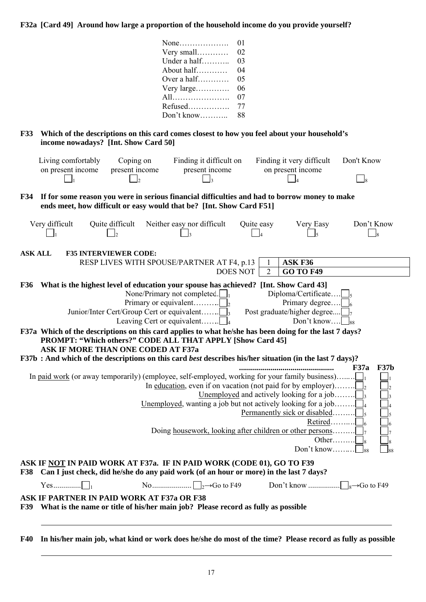**F32a [Card 49] Around how large a proportion of the household income do you provide yourself?** 

|                | 01<br>02<br>Very small<br>Under a half<br>03<br>About half<br>04<br>Over a half<br>05<br>Very large<br>06<br>07<br>All<br>Refused<br>77<br>Don't know<br>88                                                                                                                                    |
|----------------|------------------------------------------------------------------------------------------------------------------------------------------------------------------------------------------------------------------------------------------------------------------------------------------------|
| <b>F33</b>     | Which of the descriptions on this card comes closest to how you feel about your household's<br>income nowadays? [Int. Show Card 50]                                                                                                                                                            |
|                | Finding it very difficult<br>Living comfortably<br>Coping on<br>Finding it difficult on<br>Don't Know<br>present income<br>present income<br>on present income<br>on present income<br>$\overline{\phantom{0}}^8$                                                                              |
| <b>F34</b>     | If for some reason you were in serious financial difficulties and had to borrow money to make<br>ends meet, how difficult or easy would that be? [Int. Show Card F51]                                                                                                                          |
|                | Very difficult<br>Quite difficult<br>Neither easy nor difficult<br>Don't Know<br>Quite easy<br>Very Easy<br>$\Box$<br>$\overline{\phantom{0}}$ 4<br>$\Box$ <sub>5</sub><br>$\overline{\phantom{0}}$ 8                                                                                          |
| <b>ASK ALL</b> | <b>F35 INTERVIEWER CODE:</b>                                                                                                                                                                                                                                                                   |
|                | RESP LIVES WITH SPOUSE/PARTNER AT F4, p.13<br><b>ASK F36</b><br>1<br>$\overline{2}$<br><b>DOES NOT</b><br><b>GO TO F49</b>                                                                                                                                                                     |
|                | F36 What is the highest level of education your spouse has achieved? [Int. Show Card 43]                                                                                                                                                                                                       |
|                | None/Primary not completed. $\Box$<br>Diploma/Certificate $\Box$<br>Primary degree<br>Post graduate/higher degree $\Box$<br>Don't know $\Box$ <sub>88</sub>                                                                                                                                    |
|                | F37a Which of the descriptions on this card applies to what he/she has been doing for the last 7 days?<br>PROMPT: "Which others?" CODE ALL THAT APPLY [Show Card 45]<br>ASK IF MORE THAN ONE CODED AT F37a                                                                                     |
|                | F37b : And which of the descriptions on this card best describes his/her situation (in the last 7 days)?                                                                                                                                                                                       |
|                | F37b<br>F37a<br>In paid work (or away temporarily) (employee, self-employed, working for your family business)<br>In <u>education</u> , even if on vacation (not paid for by employer)<br><u>Unemployed</u> , wanting a job but not actively looking for a job<br>Permanently sick or disabled |
|                | Other $\Box$<br>Don't know $\Box$ <sub>88</sub>                                                                                                                                                                                                                                                |
| <b>F38</b>     | ASK IF NOT IN PAID WORK AT F37a. IF IN PAID WORK (CODE 01), GO TO F39<br>Can I just check, did he/she do any paid work (of an hour or more) in the last 7 days?                                                                                                                                |
|                |                                                                                                                                                                                                                                                                                                |
|                | <b>ASK IF PARTNER IN PAID WORK AT F37a OR F38</b>                                                                                                                                                                                                                                              |
| <b>F39</b>     | What is the name or title of his/her main job? Please record as fully as possible                                                                                                                                                                                                              |
| <b>F40</b>     | In his/her main job, what kind or work does he/she do most of the time? Please record as fully as possible                                                                                                                                                                                     |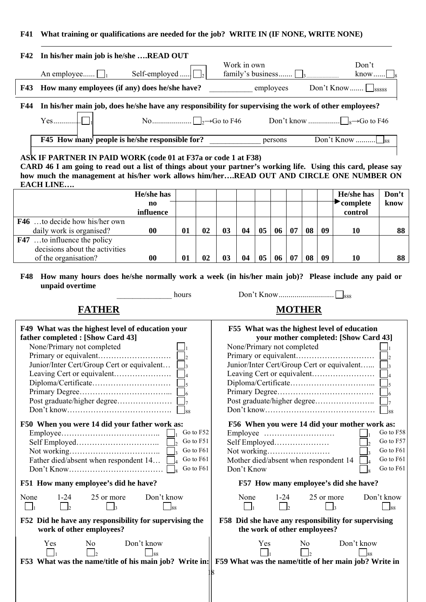#### **F41 What training or qualifications are needed for the job? WRITE IN (IF NONE, WRITE NONE)**

|            | F42 In his/her main job is he/she READ OUT                                                            |                          |                                    |
|------------|-------------------------------------------------------------------------------------------------------|--------------------------|------------------------------------|
|            |                                                                                                       | Work in own              | Don't                              |
|            | Self-employed<br>An employee $\Box$                                                                   | family's business $\Box$ | $know$                             |
| <b>F43</b> | How many employees (if any) does he/she have?                                                         | employees                | Don't Know $\Box$ <sub>88888</sub> |
| F44        | In his/her main job, does he/she have any responsibility for supervising the work of other employees? |                          |                                    |
|            |                                                                                                       |                          |                                    |
|            | F45 How many people is he/she responsible for?                                                        | persons                  |                                    |

## **ASK IF PARTNER IN PAID WORK (code 01 at F37a or code 1 at F38)**

**CARD 46 I am going to read out a list of things about your partner's working life. Using this card, please say** how much the management at his/her work allows him/her....READ OUT AND CIRCLE ONE NUMBER ON **EACH LINE….** 

|                                      | He/she has |    |    |                |    |    |    |    |    | He/she has | Don't |
|--------------------------------------|------------|----|----|----------------|----|----|----|----|----|------------|-------|
|                                      | no         |    |    |                |    |    |    |    |    | complete   | know  |
|                                      | influence  |    |    |                |    |    |    |    |    | control    |       |
| <b>F46</b> to decide how his/her own |            |    |    |                |    |    |    |    |    |            |       |
| daily work is organised?             | 00         | 01 | 02 | 0 <sub>3</sub> | 04 | 05 | 06 | 08 | 09 | 10         | 88    |
| <b>F47</b> to influence the policy   |            |    |    |                |    |    |    |    |    |            |       |
| decisions about the activities       |            |    |    |                |    |    |    |    |    |            |       |
| of the organisation?                 | 00         | 01 | 02 | 03             | 04 |    | 06 | 08 | 09 | 10         | 88    |

**F48 How many hours does he/she normally work a week (in his/her main job)? Please include any paid or unpaid overtime** 

\_\_\_\_\_\_\_\_\_\_\_\_\_\_ hours Don't Know............................ 888

**FATHER MOTHER** 

┑

| F49 What was the highest level of education your                                                             | F55 What was the highest level of education         |  |  |  |  |  |
|--------------------------------------------------------------------------------------------------------------|-----------------------------------------------------|--|--|--|--|--|
| father completed : [Show Card 43]                                                                            | your mother completed: [Show Card 43]               |  |  |  |  |  |
| None/Primary not completed                                                                                   | None/Primary not completed                          |  |  |  |  |  |
|                                                                                                              |                                                     |  |  |  |  |  |
| Junior/Inter Cert/Group Cert or equivalent                                                                   | Junior/Inter Cert/Group Cert or equivalent [        |  |  |  |  |  |
|                                                                                                              |                                                     |  |  |  |  |  |
|                                                                                                              |                                                     |  |  |  |  |  |
|                                                                                                              |                                                     |  |  |  |  |  |
|                                                                                                              |                                                     |  |  |  |  |  |
| $Don't know \dots \dots \dots \dots \dots \dots \dots \dots \dots \dots \dots$                               |                                                     |  |  |  |  |  |
| F50 When you were 14 did your father work as:                                                                | F56 When you were 14 did your mother work as:       |  |  |  |  |  |
| Go to F52                                                                                                    | Go to F58                                           |  |  |  |  |  |
| Go to F51                                                                                                    | Go to F57                                           |  |  |  |  |  |
| Go to F61                                                                                                    | Go to F61                                           |  |  |  |  |  |
| Go to F61<br>Father died/absent when respondent 14                                                           | Go to F61<br>Mother died/absent when respondent 14  |  |  |  |  |  |
| Go to F61                                                                                                    | Go to F61<br>Don't Know                             |  |  |  |  |  |
| F51 How many employee's did he have?                                                                         | F57 How many employee's did she have?               |  |  |  |  |  |
| None<br>$1 - 24$<br>25 or more<br>Don't know                                                                 | Don't know<br>25 or more<br>None<br>$1 - 24$        |  |  |  |  |  |
| $\vert$<br>l٩<br>188                                                                                         | $\mathbf{z}$<br>l88                                 |  |  |  |  |  |
| F52 Did he have any responsibility for supervising the                                                       | F58 Did she have any responsibility for supervising |  |  |  |  |  |
| work of other employees?                                                                                     | the work of other employees?                        |  |  |  |  |  |
| Don't know<br>Yes<br>N <sub>0</sub>                                                                          | Don't know<br>Yes<br>N <sub>0</sub>                 |  |  |  |  |  |
|                                                                                                              | 88                                                  |  |  |  |  |  |
| F53 What was the name/title of his main job? Write in: F59 What was the name/title of her main job? Write in |                                                     |  |  |  |  |  |
|                                                                                                              |                                                     |  |  |  |  |  |
|                                                                                                              |                                                     |  |  |  |  |  |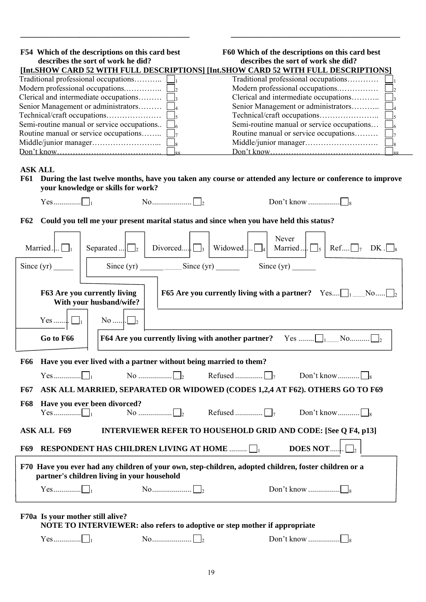| F54 Which of the descriptions on this card best<br>describes the sort of work he did? | F60 Which of the descriptions on this card best<br>describes the sort of work she did?                                              |
|---------------------------------------------------------------------------------------|-------------------------------------------------------------------------------------------------------------------------------------|
|                                                                                       | [Int.SHOW CARD 52 WITH FULL DESCRIPTIONS] [Int.SHOW CARD 52 WITH FULL DESCRIPTIONS]                                                 |
|                                                                                       | Traditional professional occupations                                                                                                |
| Modern professional occupations                                                       | Modern professional occupations                                                                                                     |
| Clerical and intermediate occupations $\Box$ <sub>3</sub>                             | Clerical and intermediate occupations                                                                                               |
| Senior Management or administrators [                                                 | Senior Management or administrators                                                                                                 |
|                                                                                       |                                                                                                                                     |
| Semi-routine manual or service occupations                                            | Semi-routine manual or service occupations                                                                                          |
| Routine manual or service occupations                                                 | Routine manual or service occupations                                                                                               |
|                                                                                       |                                                                                                                                     |
|                                                                                       | QQ                                                                                                                                  |
| <b>ASK ALL</b><br><b>F61</b><br>your knowledge or skills for work?                    | During the last twelve months, have you taken any course or attended any lecture or conference to improve<br>$\overline{\text{No}}$ |
| <b>F62</b>                                                                            | Could you tell me your present marital status and since when you have held this status?                                             |
| Married $\Box$ <sub>1</sub><br>Separated $\boxed{\square_2}$                          | Never<br>Divorced $\Box$<br>Widowed<br>$\text{Ref}$ $\Box$ <sub>7</sub><br>Married<br>DK.<br>$\overline{A}$                         |
| Since $(yr)$                                                                          | Since $(yr)$ Since $(yr)$ Since $(yr)$<br>Since $(yr)$                                                                              |
| F63 Are you currently living<br>With your husband/wife?                               | <b>F65</b> Are you currently living with a partner? Yes $\bigsqcup_{1 \text{ }}$ No $\bigsqcup_{2}$                                 |

**\_\_\_\_\_\_\_\_\_\_\_\_\_\_\_\_\_\_\_\_\_\_\_\_\_\_\_\_\_\_\_\_\_\_\_\_\_\_\_\_\_\_\_ \_\_\_\_\_\_\_\_\_\_\_\_\_\_\_\_\_\_\_\_\_\_\_\_\_\_\_\_\_\_\_\_\_\_\_\_\_\_\_\_\_\_\_** 

|                                                                                                                                                      | $\text{No}\dots\cup\cup\{2\}$                                                                                         |  |  |  |  |
|------------------------------------------------------------------------------------------------------------------------------------------------------|-----------------------------------------------------------------------------------------------------------------------|--|--|--|--|
|                                                                                                                                                      | Go to F66                                                                                                             |  |  |  |  |
| <b>F66</b>                                                                                                                                           | Have you ever lived with a partner without being married to them?                                                     |  |  |  |  |
|                                                                                                                                                      |                                                                                                                       |  |  |  |  |
| <b>F67</b>                                                                                                                                           | ASK ALL MARRIED, SEPARATED OR WIDOWED (CODES 1,2,4 AT F62). OTHERS GO TO F69                                          |  |  |  |  |
| <b>F68</b>                                                                                                                                           | Have you ever been divorced?                                                                                          |  |  |  |  |
|                                                                                                                                                      | <b>INTERVIEWER REFER TO HOUSEHOLD GRID AND CODE: [See Q F4, p13]</b><br><b>ASK ALL F69</b>                            |  |  |  |  |
| <b>F69</b>                                                                                                                                           | <b>DOES NOT</b> $\Box_2$<br>RESPONDENT HAS CHILDREN LIVING AT HOME $\Box$                                             |  |  |  |  |
| F70 Have you ever had any children of your own, step-children, adopted children, foster children or a<br>partner's children living in your household |                                                                                                                       |  |  |  |  |
|                                                                                                                                                      |                                                                                                                       |  |  |  |  |
|                                                                                                                                                      | F70a Is your mother still alive?<br><b>NOTE TO INTERVIEWER: also refers to adoptive or step mother if appropriate</b> |  |  |  |  |

| $\alpha$ c<br> | . 1 | 18 |
|----------------|-----|----|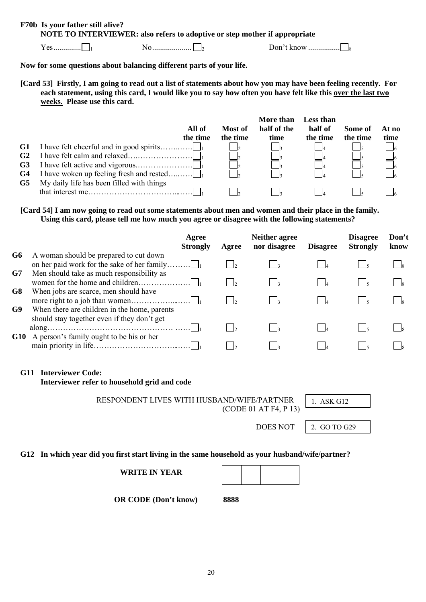#### **F70b Is your father still alive? NOTE TO INTERVIEWER: also refers to adoptive or step mother if appropriate**

Yes.............. 1 No.................... <sup>2</sup> Don't know ................ <sup>8</sup>

## **Now for some questions about balancing different parts of your life.**

**[Card 53] Firstly, I am going to read out a list of statements about how you may have been feeling recently. For each statement, using this card, I would like you to say how often you have felt like this over the last two weeks. Please use this card.** 

|                                              | All of<br>the time                        | Most of<br>the time | More than<br>half of the<br>time | <b>Less than</b><br>half of<br>the time | Some of<br>the time | At no<br>time |
|----------------------------------------------|-------------------------------------------|---------------------|----------------------------------|-----------------------------------------|---------------------|---------------|
| G1<br>G <sub>2</sub><br>G <sub>3</sub><br>G4 |                                           |                     |                                  |                                         |                     |               |
| G5                                           | My daily life has been filled with things |                     |                                  |                                         |                     |               |

**[Card 54] I am now going to read out some statements about men and women and their place in the family. Using this card, please tell me how much you agree or disagree with the following statements?** 

|                |                                              | Agree<br><b>Strongly</b> | Agree | <b>Neither agree</b><br>nor disagree | <b>Disagree</b> | <b>Disagree</b><br><b>Strongly</b> | Don't<br>know |
|----------------|----------------------------------------------|--------------------------|-------|--------------------------------------|-----------------|------------------------------------|---------------|
| G6             | A woman should be prepared to cut down       |                          |       |                                      |                 |                                    |               |
|                | on her paid work for the sake of her family  |                          |       |                                      |                 |                                    |               |
| G7             | Men should take as much responsibility as    |                          |       |                                      |                 |                                    |               |
|                |                                              |                          |       |                                      |                 |                                    |               |
| G <sub>8</sub> | When jobs are scarce, men should have        |                          |       |                                      |                 |                                    |               |
|                |                                              |                          |       |                                      |                 |                                    |               |
| G9             | When there are children in the home, parents |                          |       |                                      |                 |                                    |               |
|                | should stay together even if they don't get  |                          |       |                                      |                 |                                    |               |
|                |                                              |                          |       |                                      |                 |                                    |               |
|                | G10 A person's family ought to be his or her |                          |       |                                      |                 |                                    |               |
|                |                                              |                          |       |                                      |                 |                                    |               |

#### **G11 Interviewer Code:**

**Interviewer refer to household grid and code** 

**RESPONDENT LIVES WITH HUSBAND/WIFE/PARTNER | 1. ASK G12** (CODE 01 AT F4, P 13)

DOES NOT  $\vert$  2. GO TO G29

#### **G12 In which year did you first start living in the same household as your husband/wife/partner?**

| <b>WRITE IN YEAR</b> |
|----------------------|
|----------------------|

 **OR CODE (Don't know) 8888**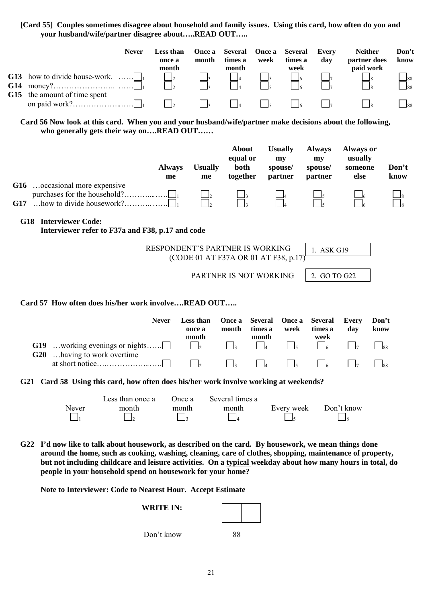## **[Card 55] Couples sometimes disagree about household and family issues. Using this card, how often do you and your husband/wife/partner disagree about…..READ OUT…..**

| G15 | G13 how to divide house-work.<br>the amount of time spent                                                                                                                                                                                                                                                                                                                                     | <b>Never</b>                                 | Less than<br>once a<br>month<br>$\mathsf{I}_2$<br>$\Box_2$<br>$\Box_2$ | Once a<br>month                                                         | <b>Several</b><br>times a<br>month<br>$\overline{\phantom{a}}$ 4 | Once a<br>week<br>$\Box$ <sub>5</sub> | <b>Several</b><br>times a<br>week<br>$-6$  | <b>Every</b><br>day                       | <b>Neither</b><br>partner does<br>paid work    | Don't<br>know<br>188<br>188<br>$\Box$ 88 |
|-----|-----------------------------------------------------------------------------------------------------------------------------------------------------------------------------------------------------------------------------------------------------------------------------------------------------------------------------------------------------------------------------------------------|----------------------------------------------|------------------------------------------------------------------------|-------------------------------------------------------------------------|------------------------------------------------------------------|---------------------------------------|--------------------------------------------|-------------------------------------------|------------------------------------------------|------------------------------------------|
|     | Card 56 Now look at this card. When you and your husband/wife/partner make decisions about the following,<br>who generally gets their way onREAD OUT                                                                                                                                                                                                                                          |                                              |                                                                        |                                                                         |                                                                  |                                       |                                            |                                           |                                                |                                          |
|     | G16 occasional more expensive                                                                                                                                                                                                                                                                                                                                                                 |                                              | <b>Always</b><br>me                                                    | <b>Usually</b><br>me                                                    | <b>About</b><br>equal or<br>both<br>together                     |                                       | <b>Usually</b><br>my<br>spouse/<br>partner | <b>Always</b><br>my<br>spouse/<br>partner | <b>Always or</b><br>usually<br>someone<br>else | Don't<br>know                            |
| G17 | purchases for the household?<br>how to divide housework?                                                                                                                                                                                                                                                                                                                                      | .                                            |                                                                        |                                                                         |                                                                  |                                       |                                            |                                           |                                                |                                          |
|     | <b>G18</b> Interviewer Code:<br>Interviewer refer to F37a and F38, p.17 and code                                                                                                                                                                                                                                                                                                              |                                              |                                                                        |                                                                         |                                                                  |                                       |                                            |                                           |                                                |                                          |
|     |                                                                                                                                                                                                                                                                                                                                                                                               |                                              |                                                                        | RESPONDENT'S PARTNER IS WORKING<br>(CODE 01 AT F37A OR 01 AT F38, p.17) |                                                                  |                                       |                                            | 1. ASK G19                                |                                                |                                          |
|     |                                                                                                                                                                                                                                                                                                                                                                                               |                                              |                                                                        | PARTNER IS NOT WORKING                                                  |                                                                  |                                       |                                            | 2. GO TO G22                              |                                                |                                          |
|     | Card 57 How often does his/her work involveREAD OUT                                                                                                                                                                                                                                                                                                                                           |                                              |                                                                        |                                                                         |                                                                  |                                       |                                            |                                           |                                                |                                          |
|     |                                                                                                                                                                                                                                                                                                                                                                                               |                                              | <b>Never</b>                                                           | Less than<br>once a<br>month                                            | Once a<br>month                                                  | <b>Several</b><br>times a<br>month    | Once a<br>week                             | <b>Several</b><br>times a<br>week         | <b>Every</b><br>day                            | Don't<br>know                            |
|     | <b>G19</b><br>working evenings or nights<br>G20<br>having to work overtime.                                                                                                                                                                                                                                                                                                                   |                                              |                                                                        | l2                                                                      | $\Box$ 3                                                         | $\Box$ 4                              | $\Box$ <sub>5</sub>                        | $-6$                                      |                                                | 88                                       |
|     |                                                                                                                                                                                                                                                                                                                                                                                               |                                              |                                                                        |                                                                         |                                                                  |                                       |                                            |                                           |                                                | 188                                      |
|     | G21 Card 58 Using this card, how often does his/her work involve working at weekends?                                                                                                                                                                                                                                                                                                         |                                              |                                                                        |                                                                         |                                                                  |                                       |                                            |                                           |                                                |                                          |
|     | Never                                                                                                                                                                                                                                                                                                                                                                                         | Less than once a<br>month<br>$\vert$ $\vert$ | Once a<br>month                                                        | $\vert$ $\vert$ <sub>3</sub>                                            | Several times a<br>month                                         |                                       | Every week                                 |                                           | Don't know<br>$\Box$                           |                                          |
|     | G22 I'd now like to talk about housework, as described on the card. By housework, we mean things done<br>around the home, such as cooking, washing, cleaning, care of clothes, shopping, maintenance of property,<br>but not including childcare and leisure activities. On a typical weekday about how many hours in total, do<br>people in your household spend on housework for your home? |                                              |                                                                        |                                                                         |                                                                  |                                       |                                            |                                           |                                                |                                          |
|     | Note to Interviewer: Code to Nearest Hour. Accept Estimate                                                                                                                                                                                                                                                                                                                                    |                                              |                                                                        |                                                                         |                                                                  |                                       |                                            |                                           |                                                |                                          |
|     |                                                                                                                                                                                                                                                                                                                                                                                               |                                              | <b>WRITE IN:</b>                                                       |                                                                         |                                                                  |                                       |                                            |                                           |                                                |                                          |

Don't know 88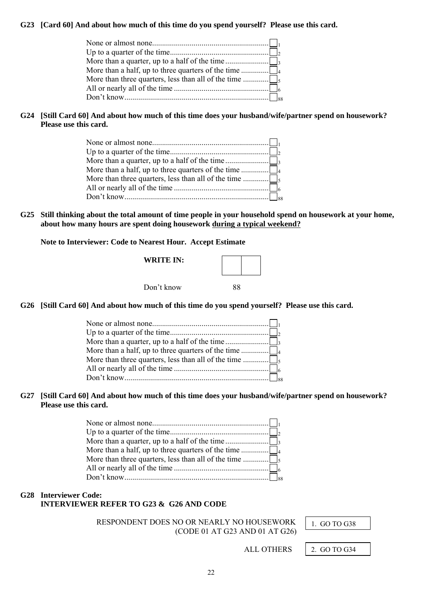#### **G23 [Card 60] And about how much of this time do you spend yourself? Please use this card.**

## **G24 [Still Card 60] And about how much of this time does your husband/wife/partner spend on housework? Please use this card.**

**G25 Still thinking about the total amount of time people in your household spend on housework at your home, about how many hours are spent doing housework during a typical weekend?**

**Note to Interviewer: Code to Nearest Hour. Accept Estimate** 

| <b>WRITE IN:</b> |    |  |
|------------------|----|--|
| Don't know       | 88 |  |

**G26 [Still Card 60] And about how much of this time do you spend yourself? Please use this card.** 

#### **G27 [Still Card 60] And about how much of this time does your husband/wife/partner spend on housework? Please use this card.**

## **G28 Interviewer Code: INTERVIEWER REFER TO G23 & G26 AND CODE**

**RESPONDENT DOES NO OR NEARLY NO HOUSEWORK | 1. GO TO G38** (CODE 01 AT G23 AND 01 AT G26)

ALL OTHERS | 2. GO TO G34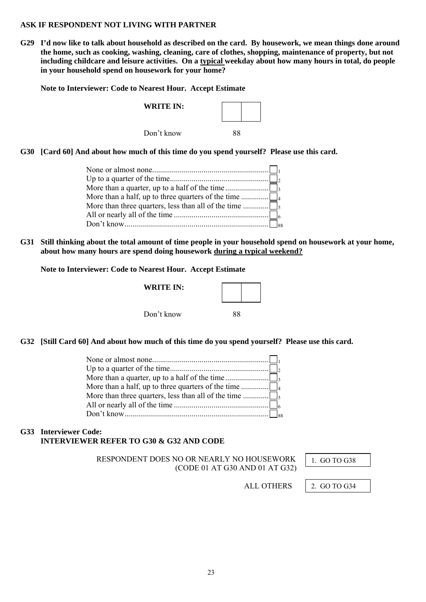#### **ASK IF RESPONDENT NOT LIVING WITH PARTNER**

**G29 I'd now like to talk about household as described on the card. By housework, we mean things done around the home, such as cooking, washing, cleaning, care of clothes, shopping, maintenance of property, but not including childcare and leisure activities. On a typical weekday about how many hours in total, do people in your household spend on housework for your home?** 

**Note to Interviewer: Code to Nearest Hour. Accept Estimate** 

| <b>WRITE IN:</b> |  |
|------------------|--|
| Don't know       |  |

**G30 [Card 60] And about how much of this time do you spend yourself? Please use this card.** 

**G31 Still thinking about the total amount of time people in your household spend on housework at your home, about how many hours are spend doing housework during a typical weekend?**

#### **Note to Interviewer: Code to Nearest Hour. Accept Estimate**

| <b>WRITE IN:</b> |    |  |
|------------------|----|--|
| Don't know       | 88 |  |

**G32 [Still Card 60] And about how much of this time do you spend yourself? Please use this card.** 

## **G33 Interviewer Code: INTERVIEWER REFER TO G30 & G32 AND CODE**

**RESPONDENT DOES NO OR NEARLY NO HOUSEWORK | 1. GO TO G38** (CODE 01 AT G30 AND 01 AT G32)

ALL OTHERS | 2. GO TO G34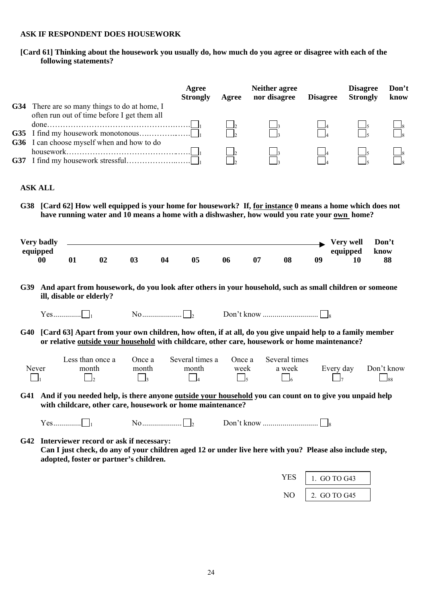## **ASK IF RESPONDENT DOES HOUSEWORK**

**[Card 61] Thinking about the housework you usually do, how much do you agree or disagree with each of the following statements?** 

|     |                                            |                          |                                     | G34 There are so many things to do at home, I                                             |    | Agree<br><b>Strongly</b>           | Agree                      | Neither agree<br>nor disagree                                                                                                                                                                             | <b>Disagree</b> | <b>Disagree</b><br><b>Strongly</b> | Don't<br>know           |
|-----|--------------------------------------------|--------------------------|-------------------------------------|-------------------------------------------------------------------------------------------|----|------------------------------------|----------------------------|-----------------------------------------------------------------------------------------------------------------------------------------------------------------------------------------------------------|-----------------|------------------------------------|-------------------------|
|     |                                            |                          |                                     | often run out of time before I get them all<br>G36 I can choose myself when and how to do |    |                                    |                            |                                                                                                                                                                                                           |                 |                                    |                         |
| G38 | <b>ASK ALL</b>                             |                          |                                     |                                                                                           |    |                                    |                            | [Card 62] How well equipped is your home for housework? If, for instance 0 means a home which does not<br>have running water and 10 means a home with a dishwasher, how would you rate your own home?     |                 |                                    |                         |
|     | <b>Very badly</b><br>equipped<br>$\bf{00}$ | 01                       | 02                                  | 03                                                                                        | 04 | 05                                 | 06                         | 08<br>07                                                                                                                                                                                                  | 09              | Very well<br>equipped<br>10        | Don't<br>know<br>88     |
| G39 |                                            | ill, disable or elderly? |                                     |                                                                                           |    |                                    |                            | And apart from housework, do you look after others in your household, such as small children or someone                                                                                                   |                 |                                    |                         |
| G40 |                                            |                          |                                     |                                                                                           |    |                                    |                            | [Card 63] Apart from your own children, how often, if at all, do you give unpaid help to a family member<br>or relative outside your household with childcare, other care, housework or home maintenance? |                 |                                    |                         |
|     | Never                                      |                          | Less than once a<br>month<br>$\Box$ | Once a<br>month<br>$\Box$ <sub>3</sub>                                                    |    | Several times a<br>month<br>$\Box$ | Once a<br>week<br>$\Box_5$ | Several times<br>a week                                                                                                                                                                                   | $\Box_6$        | Every day<br>$\vert \ \vert_7$     | Don't know<br>$\Box$ 88 |
|     |                                            |                          |                                     | with childcare, other care, housework or home maintenance?                                |    |                                    |                            | G41 And if you needed help, is there anyone outside your household you can count on to give you unpaid help                                                                                               |                 |                                    |                         |
|     |                                            |                          |                                     |                                                                                           |    |                                    |                            |                                                                                                                                                                                                           |                 |                                    |                         |
|     |                                            |                          |                                     | G42 Interviewer record or ask if necessary:<br>adopted, foster or partner's children.     |    |                                    |                            | Can I just check, do any of your children aged 12 or under live here with you? Please also include step,                                                                                                  |                 |                                    |                         |
|     |                                            |                          |                                     |                                                                                           |    |                                    |                            |                                                                                                                                                                                                           | <b>YES</b>      | 1. GO TO G43                       |                         |
|     |                                            |                          |                                     |                                                                                           |    |                                    |                            |                                                                                                                                                                                                           | N <sub>O</sub>  | 2. GO TO G45                       |                         |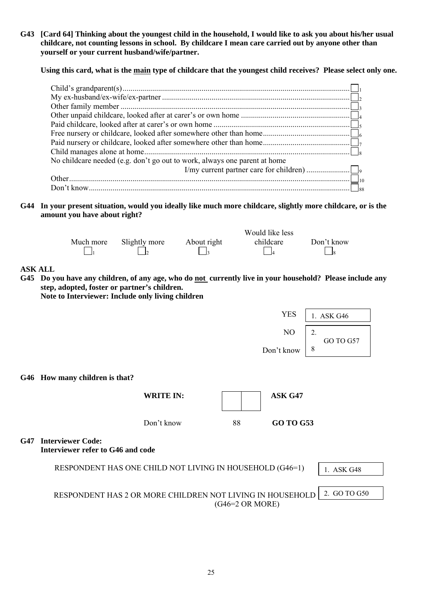**G43 [Card 64] Thinking about the youngest child in the household, I would like to ask you about his/her usual childcare, not counting lessons in school. By childcare I mean care carried out by anyone other than yourself or your current husband/wife/partner.** 

**Using this card, what is the main type of childcare that the youngest child receives? Please select only one.** 

| No childcare needed (e.g. don't go out to work, always one parent at home |  |
|---------------------------------------------------------------------------|--|
|                                                                           |  |
|                                                                           |  |
|                                                                           |  |
|                                                                           |  |

**G44 In your present situation, would you ideally like much more childcare, slightly more childcare, or is the amount you have about right?** 

|           |               |             | Would like less |            |
|-----------|---------------|-------------|-----------------|------------|
| Much more | Slightly more | About right | childcare       | Don't know |
|           |               |             |                 |            |
|           |               |             |                 |            |

**ASK ALL** 

**G45 Do you have any children, of any age, who do not currently live in your household? Please include any step, adopted, foster or partner's children.** 

**Note to Interviewer: Include only living children** 

|                 |                                                               | <b>YES</b>                | 1. ASK G46      |
|-----------------|---------------------------------------------------------------|---------------------------|-----------------|
|                 |                                                               | NO                        | 2.<br>GO TO G57 |
|                 |                                                               | Don't know                | 8               |
|                 | G46 How many children is that?                                |                           |                 |
|                 | <b>WRITE IN:</b>                                              | ASK G47                   |                 |
|                 | Don't know                                                    | 88<br><b>GO TO G53</b>    |                 |
| G <sub>47</sub> | <b>Interviewer Code:</b><br>Interviewer refer to G46 and code |                           |                 |
|                 | RESPONDENT HAS ONE CHILD NOT LIVING IN HOUSEHOLD (G46=1)      |                           | 1. ASK G48      |
|                 | RESPONDENT HAS 2 OR MORE CHILDREN NOT LIVING IN HOUSEHOLD     | $(G46=2 \text{ OR MORE})$ | 2. GO TO G50    |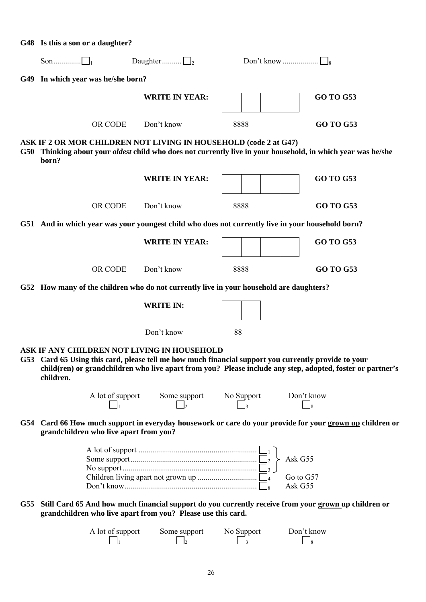| G48 Is this a son or a daughter?                                                                                                                                 |                                          |            |                                                                                                                     |
|------------------------------------------------------------------------------------------------------------------------------------------------------------------|------------------------------------------|------------|---------------------------------------------------------------------------------------------------------------------|
|                                                                                                                                                                  | Daughter $\Box$ <sub>2</sub>             |            |                                                                                                                     |
| G49 In which year was he/she born?                                                                                                                               |                                          |            |                                                                                                                     |
|                                                                                                                                                                  | <b>WRITE IN YEAR:</b>                    |            | <b>GO TO G53</b>                                                                                                    |
| OR CODE                                                                                                                                                          | Don't know                               | 8888       | <b>GO TO G53</b>                                                                                                    |
| ASK IF 2 OR MOR CHILDREN NOT LIVING IN HOUSEHOLD (code 2 at G47)<br>born?                                                                                        |                                          |            | G50 Thinking about your <i>oldest</i> child who does not currently live in your household, in which year was he/she |
|                                                                                                                                                                  | <b>WRITE IN YEAR:</b>                    |            | <b>GO TO G53</b>                                                                                                    |
| OR CODE                                                                                                                                                          | Don't know                               | 8888       | <b>GO TO G53</b>                                                                                                    |
| G51 And in which year was your youngest child who does not currently live in your household born?                                                                |                                          |            |                                                                                                                     |
|                                                                                                                                                                  | <b>WRITE IN YEAR:</b>                    |            | <b>GO TO G53</b>                                                                                                    |
| OR CODE                                                                                                                                                          | Don't know                               | 8888       | <b>GO TO G53</b>                                                                                                    |
| G52 How many of the children who do not currently live in your household are daughters?                                                                          |                                          |            |                                                                                                                     |
|                                                                                                                                                                  | <b>WRITE IN:</b>                         |            |                                                                                                                     |
|                                                                                                                                                                  | Don't know                               | 88         |                                                                                                                     |
| ASK IF ANY CHILDREN NOT LIVING IN HOUSEHOLD<br>G53 Card 65 Using this card, please tell me how much financial support you currently provide to your<br>children. |                                          |            | child(ren) or grandchildren who live apart from you? Please include any step, adopted, foster or partner's          |
|                                                                                                                                                                  | A lot of support Some support No Support |            | Don't know                                                                                                          |
| grandchildren who live apart from you?                                                                                                                           |                                          |            | G54 Card 66 How much support in everyday housework or care do your provide for your grown up children or            |
|                                                                                                                                                                  |                                          |            | Ask G55<br>Go to G57<br>Ask G55                                                                                     |
| grandchildren who live apart from you? Please use this card.                                                                                                     |                                          |            | G55 Still Card 65 And how much financial support do you currently receive from your grown up children or            |
| A lot of support                                                                                                                                                 | Some support                             | No Support | Don't know                                                                                                          |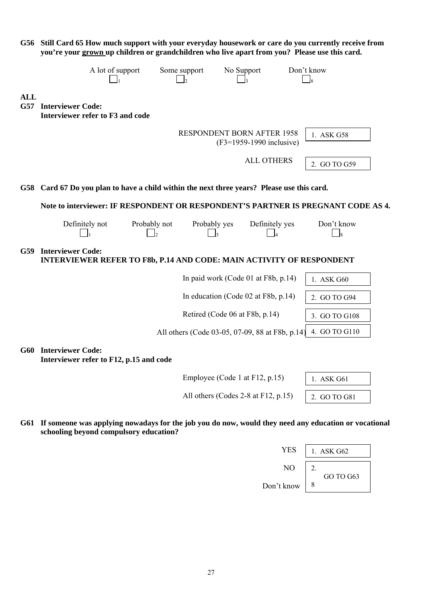|                   | you're your grown up children or grandchildren who live apart from you? Please use this card.           |                    |                                                 |                            | G56 Still Card 65 How much support with your everyday housework or care do you currently receive from |  |
|-------------------|---------------------------------------------------------------------------------------------------------|--------------------|-------------------------------------------------|----------------------------|-------------------------------------------------------------------------------------------------------|--|
|                   | A lot of support                                                                                        |                    | Some support<br>b                               | No Support                 | Don't know<br>$\overline{\phantom{0}}$ 8                                                              |  |
| <b>ALL</b><br>G57 | <b>Interviewer Code:</b><br>Interviewer refer to F3 and code                                            |                    |                                                 |                            |                                                                                                       |  |
|                   |                                                                                                         |                    | <b>RESPONDENT BORN AFTER 1958</b>               | $(F3=1959-1990$ inclusive) | 1. ASK G58                                                                                            |  |
|                   |                                                                                                         |                    |                                                 | <b>ALL OTHERS</b>          | 2. GO TO G59                                                                                          |  |
| G58               | Card 67 Do you plan to have a child within the next three years? Please use this card.                  |                    |                                                 |                            |                                                                                                       |  |
|                   |                                                                                                         |                    |                                                 |                            | Note to interviewer: IF RESPONDENT OR RESPONDENT'S PARTNER IS PREGNANT CODE AS 4.                     |  |
|                   | Definitely not                                                                                          | Probably not<br>J2 | Probably yes<br>$\Box$ 3                        | Definitely yes             | Don't know<br>$\Box$ 8                                                                                |  |
| G59               | <b>Interviewer Code:</b><br><b>INTERVIEWER REFER TO F8b, P.14 AND CODE: MAIN ACTIVITY OF RESPONDENT</b> |                    |                                                 |                            |                                                                                                       |  |
|                   |                                                                                                         |                    | In paid work (Code 01 at F8b, p.14)             |                            | 1. ASK G60                                                                                            |  |
|                   |                                                                                                         |                    | In education (Code 02 at F8b, p.14)             |                            | 2. GO TO G94                                                                                          |  |
|                   |                                                                                                         |                    | Retired (Code 06 at F8b, p.14)                  |                            | 3. GO TO G108                                                                                         |  |
|                   |                                                                                                         |                    | All others (Code 03-05, 07-09, 88 at F8b, p.14) |                            | 4. GO TO G110                                                                                         |  |
|                   | G60 Interviewer Code:<br>Interviewer refer to F12, p.15 and code                                        |                    |                                                 |                            |                                                                                                       |  |
|                   |                                                                                                         |                    | Employee (Code 1 at F12, p.15)                  |                            | 1. ASK G61                                                                                            |  |
|                   |                                                                                                         |                    | All others (Codes 2-8 at F12, p.15)             |                            | 2. GO TO G81                                                                                          |  |
|                   |                                                                                                         |                    |                                                 |                            |                                                                                                       |  |

**G61 If someone was applying nowadays for the job you do now, would they need any education or vocational schooling beyond compulsory education?** 

| <b>YES</b>     | ASK G62         |
|----------------|-----------------|
| N <sub>O</sub> | ,.<br>GO TO G63 |
| Don't know     | 8               |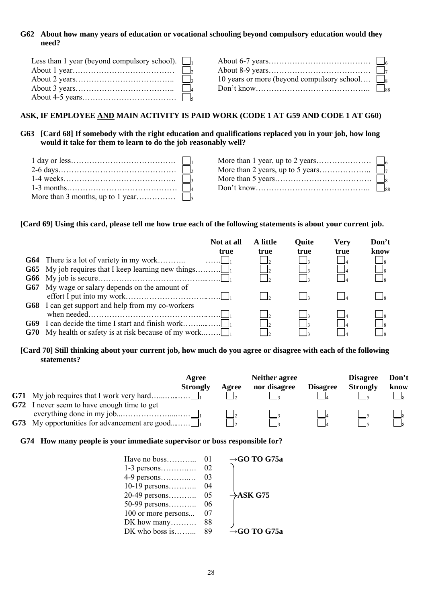## **G62 About how many years of education or vocational schooling beyond compulsory education would they need?**

| Less than 1 year (beyond compulsory school). $\Box$ |                                                   |  |
|-----------------------------------------------------|---------------------------------------------------|--|
|                                                     |                                                   |  |
|                                                     | 10 years or more (beyond compulsory school $\Box$ |  |
|                                                     |                                                   |  |
|                                                     |                                                   |  |

## **ASK, IF EMPLOYEE AND MAIN ACTIVITY IS PAID WORK (CODE 1 AT G59 AND CODE 1 AT G60)**

## **G63 [Card 68] If somebody with the right education and qualifications replaced you in your job, how long would it take for them to learn to do the job reasonably well?**

#### **[Card 69] Using this card, please tell me how true each of the following statements is about your current job.**

|                                                              | Not at all<br>true | A little<br>true | <b>Quite</b><br>true | Very<br>true | Don't<br>know |
|--------------------------------------------------------------|--------------------|------------------|----------------------|--------------|---------------|
|                                                              |                    |                  |                      |              |               |
| <b>G65</b> My job requires that I keep learning new things   |                    |                  |                      |              |               |
|                                                              |                    |                  |                      |              |               |
| <b>G67</b> My wage or salary depends on the amount of        |                    |                  |                      |              |               |
|                                                              |                    |                  |                      |              |               |
| <b>G68</b> I can get support and help from my co-workers     |                    |                  |                      |              |               |
|                                                              |                    |                  |                      |              |               |
|                                                              |                    |                  |                      |              |               |
| <b>G70</b> My health or safety is at risk because of my work |                    |                  |                      |              |               |

## **[Card 70] Still thinking about your current job, how much do you agree or disagree with each of the following statements?**

| Agree<br><b>Strongly</b>                             | Agree | <b>Neither agree</b><br>nor disagree | <b>Disagree</b> | <b>Disagree</b><br><b>Strongly</b> | Don't<br>know |
|------------------------------------------------------|-------|--------------------------------------|-----------------|------------------------------------|---------------|
|                                                      |       |                                      |                 |                                    |               |
| <b>G72</b> I never seem to have enough time to get   |       |                                      |                 |                                    |               |
|                                                      |       |                                      |                 |                                    |               |
| <b>G73</b> My opportunities for advancement are good |       |                                      |                 |                                    |               |

#### **G74 How many people is your immediate supervisor or boss responsible for?**

| Have no boss        | 01 | $\rightarrow$ GO TO G75a |
|---------------------|----|--------------------------|
| $1-3$ persons       | 02 |                          |
| 4-9 persons         | 03 |                          |
| 10-19 persons       | 04 |                          |
| $20-49$ persons     | 05 | $\rightarrow$ ASK G75    |
| 50-99 persons       | 06 |                          |
| 100 or more persons | 07 |                          |
| DK how many         | 88 |                          |
| DK who boss is      | 89 | $\rightarrow$ GO TO G75a |
|                     |    |                          |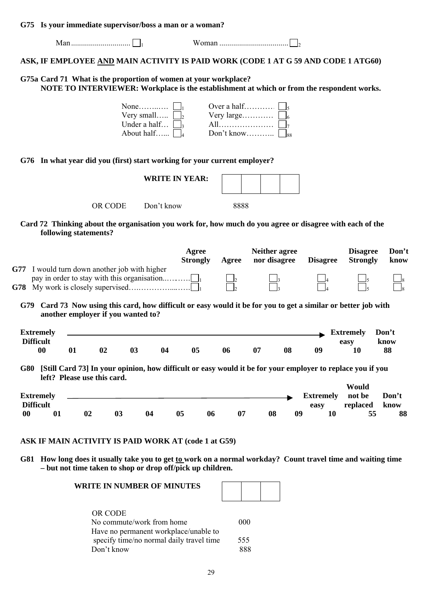**G75 Is your immediate supervisor/boss a man or a woman?** 

| ASK, IF EMPLOYEE <u>AND</u> MAIN ACTIVITY IS PAID WORK (CODE 1 AT G 59 AND CODE 1 ATG60)<br>G75a Card 71 What is the proportion of women at your workplace?<br>NOTE TO INTERVIEWER: Workplace is the establishment at which or from the respondent works.<br>Over a half<br>Very small $\boxed{\phantom{a}}_2$ Very large $\boxed{\phantom{a}}_6$<br>G76 In what year did you (first) start working for your current employer?<br><b>WRITE IN YEAR:</b><br>OR CODE<br>Don't know<br>8888 | $G/5$ is your immediate supervisor/boss a man or a woman. |  |  |
|------------------------------------------------------------------------------------------------------------------------------------------------------------------------------------------------------------------------------------------------------------------------------------------------------------------------------------------------------------------------------------------------------------------------------------------------------------------------------------------|-----------------------------------------------------------|--|--|
|                                                                                                                                                                                                                                                                                                                                                                                                                                                                                          |                                                           |  |  |
|                                                                                                                                                                                                                                                                                                                                                                                                                                                                                          |                                                           |  |  |
|                                                                                                                                                                                                                                                                                                                                                                                                                                                                                          |                                                           |  |  |
|                                                                                                                                                                                                                                                                                                                                                                                                                                                                                          |                                                           |  |  |
|                                                                                                                                                                                                                                                                                                                                                                                                                                                                                          |                                                           |  |  |
|                                                                                                                                                                                                                                                                                                                                                                                                                                                                                          |                                                           |  |  |
|                                                                                                                                                                                                                                                                                                                                                                                                                                                                                          |                                                           |  |  |

**Card 72 Thinking about the organisation you work for, how much do you agree or disagree with each of the following statements?** 

|                                                   |                                           |                             |    |    | Agree<br><b>Strongly</b> | Agree | <b>Neither agree</b><br>nor disagree |    | <b>Disagree</b>          | <b>Disagree</b><br><b>Strongly</b>                                                                         | Don't<br>know       |
|---------------------------------------------------|-------------------------------------------|-----------------------------|----|----|--------------------------|-------|--------------------------------------|----|--------------------------|------------------------------------------------------------------------------------------------------------|---------------------|
| G77 -<br>G78                                      | I would turn down another job with higher |                             |    |    |                          |       |                                      |    |                          |                                                                                                            |                     |
| G79                                               | another employer if you wanted to?        |                             |    |    |                          |       |                                      |    |                          | Card 73 Now using this card, how difficult or easy would it be for you to get a similar or better job with |                     |
| <b>Extremely</b><br><b>Difficult</b><br>$\bf{00}$ | 01                                        | 02                          | 03 | 04 | 05                       | 06    | 07                                   | 08 | 09                       | <b>Extremely</b><br>easy<br>10                                                                             | Don't<br>know<br>88 |
| G80                                               |                                           | left? Please use this card. |    |    |                          |       |                                      |    |                          | [Still Card 73] In your opinion, how difficult or easy would it be for your employer to replace you if you |                     |
|                                                   |                                           |                             |    |    |                          |       |                                      |    |                          | Would                                                                                                      |                     |
| <b>Extremely</b><br><b>Difficult</b>              |                                           |                             |    |    |                          |       |                                      |    | <b>Extremely</b><br>easy | not be<br>replaced                                                                                         | Don't<br>know       |

# **G81 How long does it usually take you to get to work on a normal workday? Count travel time and waiting time**

**– but not time taken to shop or drop off/pick up children.** 

| <b>WRITE IN NUMBER OF MINUTES</b>        |     |  |
|------------------------------------------|-----|--|
| OR CODE                                  |     |  |
| No commute/work from home                | 000 |  |
| Have no permanent workplace/unable to    |     |  |
| specify time/no normal daily travel time | 555 |  |
| Don't know                               |     |  |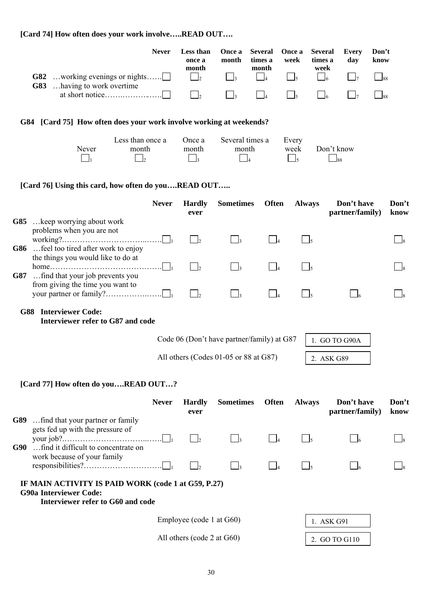## **[Card 74] How often does your work involve…..READ OUT….**

| <b>Never</b>                       | Less than Once a Several Once a Several Every<br>once a<br>month | month | times a<br>month | week | times a<br>week | dav | Don't<br>know |
|------------------------------------|------------------------------------------------------------------|-------|------------------|------|-----------------|-----|---------------|
| <b>G83</b> having to work overtime |                                                                  |       |                  |      |                 |     |               |
|                                    |                                                                  |       |                  |      |                 |     |               |

## **G84 [Card 75] How often does your work involve working at weekends?**

|       | Less than once a | Once a | Several times a | Every |                   |
|-------|------------------|--------|-----------------|-------|-------------------|
| Never | month            | month  | month           | week  | Don't know        |
|       |                  |        |                 |       | $\mathsf{J}_{88}$ |

## **[Card 76] Using this card, how often do you….READ OUT…..**

|       |                                                                                                                                       | <b>Never</b>                          | <b>Hardly</b><br>ever | <b>Sometimes</b> | <b>Often</b>   | <b>Always</b> | Don't have<br>partner/family) | Don't<br>know |  |
|-------|---------------------------------------------------------------------------------------------------------------------------------------|---------------------------------------|-----------------------|------------------|----------------|---------------|-------------------------------|---------------|--|
| G85 - | keep worrying about work                                                                                                              |                                       |                       |                  |                |               |                               |               |  |
|       | problems when you are not<br>G86  feel too tired after work to enjoy                                                                  |                                       |                       |                  |                |               |                               |               |  |
| G87   | the things you would like to do at<br>$home \dots \dots \dots \dots \dots \dots \dots \dots \dots$<br>find that your job prevents you |                                       |                       |                  | $\overline{4}$ |               |                               |               |  |
|       | from giving the time you want to                                                                                                      |                                       |                       |                  |                |               |                               |               |  |
| G88   | <b>Interviewer Code:</b><br>Interviewer refer to G87 and code                                                                         |                                       |                       |                  |                |               |                               |               |  |
|       | Code 06 (Don't have partner/family) at G87<br>1. GO TO G90A                                                                           |                                       |                       |                  |                |               |                               |               |  |
|       |                                                                                                                                       | All others (Codes 01-05 or 88 at G87) |                       |                  |                |               | 2. ASK G89                    |               |  |
|       |                                                                                                                                       |                                       |                       |                  |                |               |                               |               |  |

## **[Card 77] How often do you….READ OUT…?**

|                            | <b>Never</b>                                                                                                              | <b>Hardly</b><br>ever    | <b>Sometimes</b> | <b>Often</b> | <b>Always</b> | Don't have<br>partner/family) | Don't<br>know |
|----------------------------|---------------------------------------------------------------------------------------------------------------------------|--------------------------|------------------|--------------|---------------|-------------------------------|---------------|
| G90                        | <b>G89</b> find that your partner or family<br>gets fed up with the pressure of<br>find it difficult to concentrate on    | $\vert \cdot \vert$      |                  |              |               |                               |               |
|                            | work because of your family                                                                                               | $\mathsf{L}$             |                  |              |               |                               |               |
|                            | IF MAIN ACTIVITY IS PAID WORK (code 1 at G59, P.27)<br><b>G90a Interviewer Code:</b><br>Interviewer refer to G60 and code |                          |                  |              |               |                               |               |
|                            |                                                                                                                           | Employee (code 1 at G60) |                  |              |               | 1. ASK G91                    |               |
| All others (code 2 at G60) |                                                                                                                           |                          |                  |              |               | 2. GO TO G110                 |               |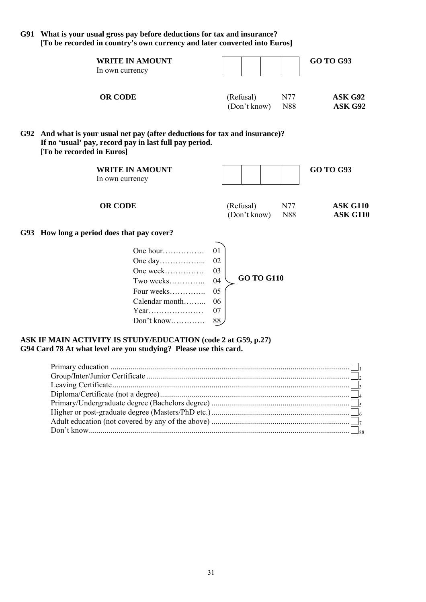**G91 What is your usual gross pay before deductions for tax and insurance? [To be recorded in country's own currency and later converted into Euros]** 

| <b>WRITE IN AMOUNT</b><br>In own currency |              |     | <b>GO TO G93</b> |
|-------------------------------------------|--------------|-----|------------------|
| <b>OR CODE</b>                            | (Refusal)    | N77 | ASK G92          |
|                                           | (Don't know) | N88 | ASK G92          |

#### **G92 And what is your usual net pay (after deductions for tax and insurance)? If no 'usual' pay, record pay in last full pay period. [To be recorded in Euros]**

| <b>WRITE IN AMOUNT</b><br>In own currency                                                                                                                                                                                                                                                                                             |                                                   |                           |            | <b>GO TO G93</b>                   |
|---------------------------------------------------------------------------------------------------------------------------------------------------------------------------------------------------------------------------------------------------------------------------------------------------------------------------------------|---------------------------------------------------|---------------------------|------------|------------------------------------|
| <b>OR CODE</b>                                                                                                                                                                                                                                                                                                                        |                                                   | (Refusal)<br>(Don't know) | N77<br>N88 | <b>ASK G110</b><br><b>ASK G110</b> |
| G93 How long a period does that pay cover?                                                                                                                                                                                                                                                                                            |                                                   |                           |            |                                    |
| One hour<br>One week<br>Two weeks<br>$\mathbf{r}$ and $\mathbf{r}$ and $\mathbf{r}$ and $\mathbf{r}$ and $\mathbf{r}$ and $\mathbf{r}$ and $\mathbf{r}$ and $\mathbf{r}$ and $\mathbf{r}$ and $\mathbf{r}$ and $\mathbf{r}$ and $\mathbf{r}$ and $\mathbf{r}$ and $\mathbf{r}$ and $\mathbf{r}$ and $\mathbf{r}$ and $\mathbf{r}$ and | 0 <sub>1</sub><br>02<br>03<br>04<br>$\sim$ $\sim$ | <b>GO TO G110</b>         |            |                                    |

| ASK IF MAIN ACTIVITY IS STUDY/EDUCATION (code 2 at G59, p.27)     |  |
|-------------------------------------------------------------------|--|
| G94 Card 78 At what level are you studying? Please use this card. |  |

Four weeks………….. 05 Calendar month……... 06 Year………………… 07 Don't know…………. 88

| Adult education (not covered by any of the above) $\ldots$ $\ldots$ $\ldots$ $\ldots$ $\ldots$ $\ldots$ $\ldots$ $\ldots$ $\ldots$ $\ldots$ $\ldots$ |  |
|------------------------------------------------------------------------------------------------------------------------------------------------------|--|
|                                                                                                                                                      |  |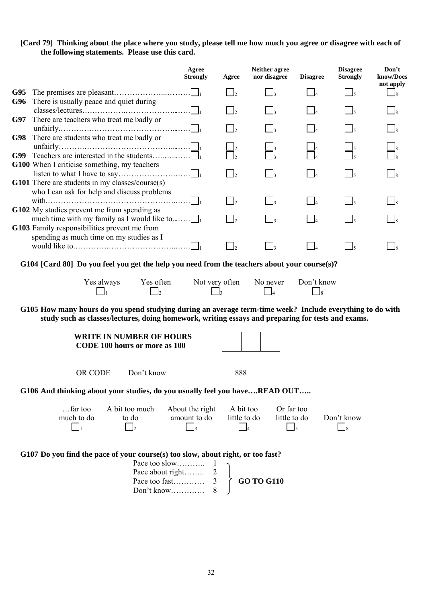#### **[Card 79] Thinking about the place where you study, please tell me how much you agree or disagree with each of the following statements. Please use this card.**

|     |                                                                                                                                                                                                                | Agree<br><b>Strongly</b>                                                             | Agree                               | Neither agree<br>nor disagree | <b>Disagree</b>             | <b>Disagree</b><br><b>Strongly</b> | Don't<br>know/Does<br>not apply |
|-----|----------------------------------------------------------------------------------------------------------------------------------------------------------------------------------------------------------------|--------------------------------------------------------------------------------------|-------------------------------------|-------------------------------|-----------------------------|------------------------------------|---------------------------------|
| G95 |                                                                                                                                                                                                                |                                                                                      | $\vert$                             | $\vert$ 3                     | $\vert$ $\vert$             | $\begin{bmatrix} 1 \end{bmatrix}$  | $\frac{1}{8}$                   |
| G96 | There is usually peace and quiet during                                                                                                                                                                        |                                                                                      | $\vert$ <sub>2</sub>                | $\vert$ <sub>3</sub>          |                             |                                    |                                 |
| G97 | There are teachers who treat me badly or                                                                                                                                                                       |                                                                                      |                                     |                               |                             |                                    |                                 |
| G98 | There are students who treat me badly or                                                                                                                                                                       |                                                                                      |                                     |                               |                             |                                    |                                 |
| G99 | Teachers are interested in the students                                                                                                                                                                        |                                                                                      |                                     |                               |                             |                                    |                                 |
|     | G100 When I criticise something, my teachers                                                                                                                                                                   |                                                                                      | $\vert$ <sub>2</sub>                | $\Box$ 3                      | $\Box$                      |                                    |                                 |
|     | G101 There are students in my classes/course(s)<br>who I can ask for help and discuss problems                                                                                                                 |                                                                                      |                                     |                               |                             |                                    |                                 |
|     |                                                                                                                                                                                                                |                                                                                      | $\vert$ <sub>2</sub>                | $\vert$ 3                     | $\Box$                      | $\vert \vert_5$                    |                                 |
|     | G102 My studies prevent me from spending as<br>much time with my family as I would like to<br>G103 Family responsibilities prevent me from                                                                     |                                                                                      | $\bigcap_{2}$                       | $\vert$ 3                     | $\vert$ 4                   | $\frac{1}{5}$                      |                                 |
|     | spending as much time on my studies as I                                                                                                                                                                       |                                                                                      | $\vert$ <sub>2</sub>                | $\overline{\phantom{a}}$      | $\Box$                      | $\bigcap_{5}$                      |                                 |
|     | G104 [Card 80] Do you feel you get the help you need from the teachers about your course(s)?                                                                                                                   |                                                                                      |                                     |                               |                             |                                    |                                 |
|     | Yes often<br>Yes always                                                                                                                                                                                        |                                                                                      | Not very often                      | No never<br>$\overline{4}$    | Don't know<br>$\frac{1}{8}$ |                                    |                                 |
|     | G105 How many hours do you spend studying during an average term-time week? Include everything to do with<br>study such as classes/lectures, doing homework, writing essays and preparing for tests and exams. |                                                                                      |                                     |                               |                             |                                    |                                 |
|     | <b>WRITE IN NUMBER OF HOURS</b><br><b>CODE 100 hours or more as 100</b>                                                                                                                                        |                                                                                      |                                     |                               |                             |                                    |                                 |
|     | Don't know<br>OR CODE                                                                                                                                                                                          |                                                                                      | 888                                 |                               |                             |                                    |                                 |
|     | G106 And thinking about your studies, do you usually feel you haveREAD OUT                                                                                                                                     |                                                                                      |                                     |                               |                             |                                    |                                 |
|     | $$ far too<br>A bit too much<br>much to do<br>to do<br>$\mathbf{I}_2$                                                                                                                                          | About the right<br>amount to do<br>$\Box$ 3                                          | A bit too<br>little to do<br>$\Box$ | Or far too<br>little to do    | $\overline{\phantom{0}}$ 5  | Don't know<br>$\bigcup_{8}$        |                                 |
|     | G107 Do you find the pace of your course(s) too slow, about right, or too fast?<br>Don't know                                                                                                                  | Pace too slow<br>$\mathbf{1}$<br>Pace about right<br>$\overline{2}$<br>Pace too fast | 3                                   | <b>GO TO G110</b>             |                             |                                    |                                 |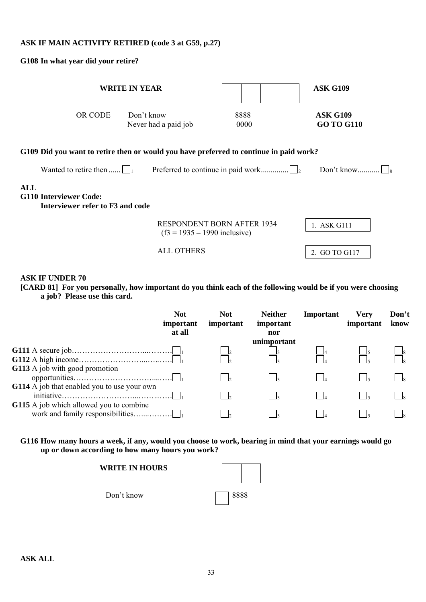## **ASK IF MAIN ACTIVITY RETIRED (code 3 at G59, p.27)**

**G108 In what year did your retire?** 

| <b>WRITE IN YEAR</b>                                                                   |                                    |                                   | <b>ASK G109</b>                      |
|----------------------------------------------------------------------------------------|------------------------------------|-----------------------------------|--------------------------------------|
| OR CODE                                                                                | Don't know<br>Never had a paid job | 8888<br>0000                      | <b>ASK G109</b><br><b>GO TO G110</b> |
| G109 Did you want to retire then or would you have preferred to continue in paid work? |                                    |                                   |                                      |
| Wanted to retire then $\bigsqcup_1$                                                    |                                    |                                   | Don't know                           |
| ALL<br>G110 Interviewer Code:<br>Interviewer refer to F3 and code                      |                                    |                                   |                                      |
|                                                                                        | $(f3 = 1935 - 1990)$ inclusive)    | <b>RESPONDENT BORN AFTER 1934</b> | 1. ASK G111                          |
|                                                                                        | ALL OTHERS                         |                                   | 2. GO TO G117                        |

## **ASK IF UNDER 70**

**[CARD 81] For you personally, how important do you think each of the following would be if you were choosing a job? Please use this card.** 

| <b>Not</b><br>important<br>at all           | <b>Not</b><br>important | <b>Neither</b><br>important<br>nor | Important | <b>Verv</b><br>important | Don't<br>know |
|---------------------------------------------|-------------------------|------------------------------------|-----------|--------------------------|---------------|
|                                             |                         | unimportant                        |           |                          |               |
|                                             |                         |                                    |           |                          |               |
|                                             |                         |                                    |           |                          |               |
| G113 A job with good promotion              |                         |                                    |           |                          |               |
|                                             |                         |                                    |           |                          |               |
| G114 A job that enabled you to use your own |                         |                                    |           |                          |               |
|                                             |                         |                                    |           |                          |               |
| G115 A job which allowed you to combine     |                         |                                    |           |                          |               |
|                                             |                         |                                    |           |                          |               |

**G116 How many hours a week, if any, would you choose to work, bearing in mind that your earnings would go up or down according to how many hours you work?** 

Don't know 3888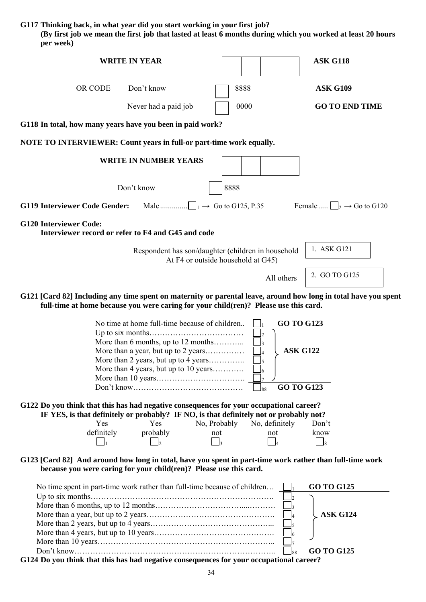**G117 Thinking back, in what year did you start working in your first job?** 

**(By first job we mean the first job that lasted at least 6 months during which you worked at least 20 hours per week)** 

| <b>WRITE IN YEAR</b>                                                                                                                                                                                                                                   | <b>ASK G118</b>                                                                                                  |
|--------------------------------------------------------------------------------------------------------------------------------------------------------------------------------------------------------------------------------------------------------|------------------------------------------------------------------------------------------------------------------|
| Don't know<br>OR CODE                                                                                                                                                                                                                                  | 8888<br><b>ASK G109</b>                                                                                          |
| Never had a paid job                                                                                                                                                                                                                                   | <b>GO TO END TIME</b><br>0000                                                                                    |
| G118 In total, how many years have you been in paid work?                                                                                                                                                                                              |                                                                                                                  |
| <b>NOTE TO INTERVIEWER: Count years in full-or part-time work equally.</b>                                                                                                                                                                             |                                                                                                                  |
| <b>WRITE IN NUMBER YEARS</b>                                                                                                                                                                                                                           |                                                                                                                  |
| Don't know                                                                                                                                                                                                                                             | 8888                                                                                                             |
| <b>G119 Interviewer Code Gender:</b><br>Male $\Box$ <sub>1</sub> $\rightarrow$ Go to G125, P.35                                                                                                                                                        | Female $\Box_2 \rightarrow$ Go to G120                                                                           |
| <b>G120 Interviewer Code:</b><br>Interviewer record or refer to F4 and G45 and code                                                                                                                                                                    |                                                                                                                  |
| Respondent has son/daughter (children in household                                                                                                                                                                                                     | 1. ASK G121<br>At F4 or outside household at G45)                                                                |
|                                                                                                                                                                                                                                                        | 2. GO TO G125<br>All others                                                                                      |
| G121 [Card 82] Including any time spent on maternity or parental leave, around how long in total have you spent<br>full-time at home because you were caring for your child(ren)? Please use this card.                                                |                                                                                                                  |
| No time at home full-time because of children<br>More than 6 months, up to 12 months<br>More than a year, but up to 2 years<br>More than 2 years, but up to 4 years<br>More than 4 years, but up to 10 years                                           | <b>GO TO G123</b><br><b>ASK G122</b><br><b>GO TO G123</b><br>88                                                  |
| G122 Do you think that this has had negative consequences for your occupational career?<br>IF YES, is that definitely or probably? IF NO, is that definitely not or probably not?<br>Yes<br>No, Probably<br>Yes<br>definitely<br>probably<br>not<br>l2 | No, definitely<br>Don't<br>not<br>know<br>$\vert$ 4<br>$\frac{1}{8}$<br>$\mathsf{R}$                             |
| G123 [Card 82] And around how long in total, have you spent in part-time work rather than full-time work<br>because you were caring for your child(ren)? Please use this card.                                                                         |                                                                                                                  |
| No time spent in part-time work rather than full-time because of children<br>G124 Do you think that this has had negative consequences for your occupational career?                                                                                   | <b>GO TO G125</b><br>$\mathsf{I}_3$<br><b>ASK G124</b><br>$\vert_4$<br>$\mathsf{I}_5$<br><b>GO TO G125</b><br>88 |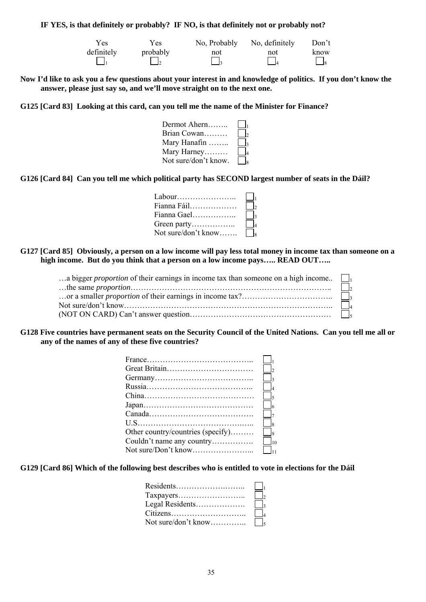#### **IF YES, is that definitely or probably? IF NO, is that definitely not or probably not?**

| Yes        | Yes.     | No, Probably | No, definitely | Don't                 |
|------------|----------|--------------|----------------|-----------------------|
| definitely | probably | not          | not            | know                  |
|            |          | $\mathbf{z}$ |                | $\vert \vert_{\rm g}$ |

**Now I'd like to ask you a few questions about your interest in and knowledge of politics. If you don't know the answer, please just say so, and we'll move straight on to the next one.** 

**G125 [Card 83] Looking at this card, can you tell me the name of the Minister for Finance?** 

| Dermot Ahern         | $\mathbf{I}$   |
|----------------------|----------------|
| Brian Cowan          | I۰             |
| Mary Hanafin         | $\mathbf{I}_3$ |
| Mary Harney          | $\mathbf{I}$   |
| Not sure/don't know. | $\mathbf{Q}$   |

**G126 [Card 84] Can you tell me which political party has SECOND largest number of seats in the Dáil?** 

| Labour              | $\mathbf{L}$ |
|---------------------|--------------|
| Fianna Fáil         | $\mathsf{L}$ |
| Fianna Gael         |              |
| Green party         | $\ $ $\ $    |
| Not sure/don't know |              |

#### **G127 [Card 85] Obviously, a person on a low income will pay less total money in income tax than someone on a high income. But do you think that a person on a low income pays….. READ OUT…..**

| a bigger <i>proportion</i> of their earnings in income tax than someone on a high income. |        |
|-------------------------------------------------------------------------------------------|--------|
|                                                                                           | $\Box$ |
|                                                                                           |        |
|                                                                                           |        |
|                                                                                           |        |

#### **G128 Five countries have permanent seats on the Security Council of the United Nations. Can you tell me all or any of the names of any of these five countries?**

| $France \dots 1$                  |                     |
|-----------------------------------|---------------------|
|                                   | $\vert \cdot \vert$ |
|                                   | $\vert$             |
|                                   | $\vert \ \vert_4$   |
|                                   | $\Box_{5}$          |
|                                   | $\Box_6$            |
|                                   | $\vert \ \vert_{7}$ |
|                                   | $\Box$              |
| Other country/countries (specify) | $\Box$              |
| Couldn't name any country         | $\Box_{10}$         |
|                                   |                     |
|                                   |                     |

**G129 [Card 86] Which of the following best describes who is entitled to vote in elections for the Dáil** 

|                 | $\mathbf{I}_1$ |
|-----------------|----------------|
|                 | $\vert \vert$  |
| Legal Residents |                |
|                 | $\mathbf{L}$   |
|                 |                |